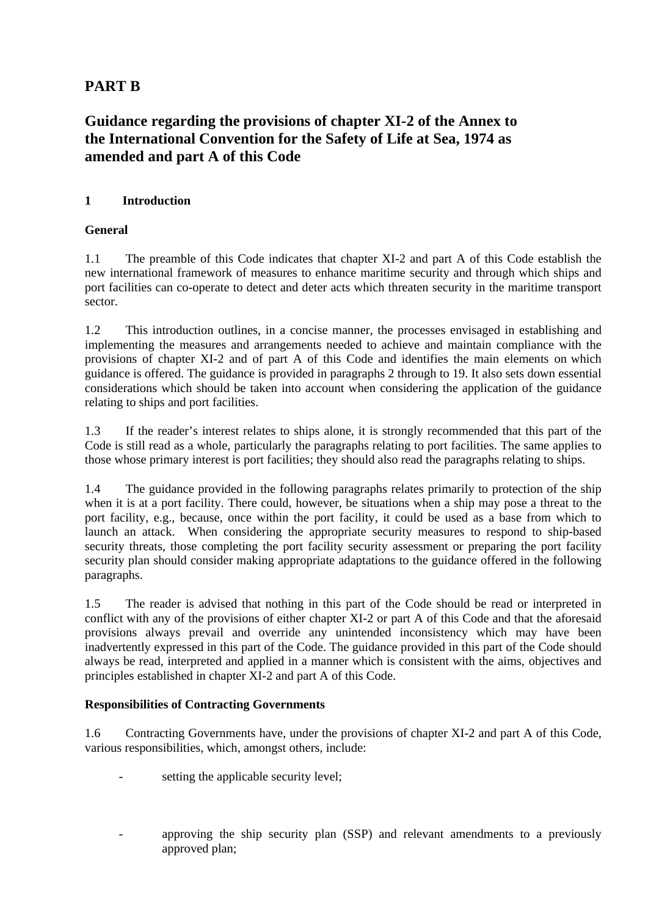# **PART B**

# **Guidance regarding the provisions of chapter XI-2 of the Annex to the International Convention for the Safety of Life at Sea, 1974 as amended and part A of this Code**

# **1 Introduction**

# **General**

1.1 The preamble of this Code indicates that chapter XI-2 and part A of this Code establish the new international framework of measures to enhance maritime security and through which ships and port facilities can co-operate to detect and deter acts which threaten security in the maritime transport sector.

1.2 This introduction outlines, in a concise manner, the processes envisaged in establishing and implementing the measures and arrangements needed to achieve and maintain compliance with the provisions of chapter XI-2 and of part A of this Code and identifies the main elements on-which guidance is offered. The guidance is provided in paragraphs 2 through to 19. It also sets down essential considerations which should be taken into account when considering the application of the guidance relating to ships and port facilities.

1.3 If the reader's interest relates to ships alone, it is strongly recommended that this part of the Code is still read as a whole, particularly the paragraphs relating to port facilities. The same applies to those whose primary interest is port facilities; they should also read the paragraphs relating to ships.

1.4 The guidance provided in the following paragraphs relates primarily to protection of the ship when it is at a port facility. There could, however, be situations when a ship may pose a threat to the port facility, e.g., because, once within the port facility, it could be used as a base from which to launch an attack. When considering the appropriate security measures to respond to ship-based security threats, those completing the port facility security assessment or preparing the port facility security plan should consider making appropriate adaptations to the guidance offered in the following paragraphs.

1.5 The reader is advised that nothing in this part of the Code should be read or interpreted in conflict with any of the provisions of either chapter XI-2 or part A of this Code and that the aforesaid provisions always prevail and override any unintended inconsistency which may have been inadvertently expressed in this part of the Code. The guidance provided in this part of the Code should always be read, interpreted and applied in a manner which is consistent with the aims, objectives and principles established in chapter XI-2 and part A of this Code.

# **Responsibilities of Contracting Governments**

1.6 Contracting Governments have, under the provisions of chapter XI-2 and part A of this Code, various responsibilities, which, amongst others, include:

- setting the applicable security level;
- approving the ship security plan (SSP) and relevant amendments to a previously approved plan;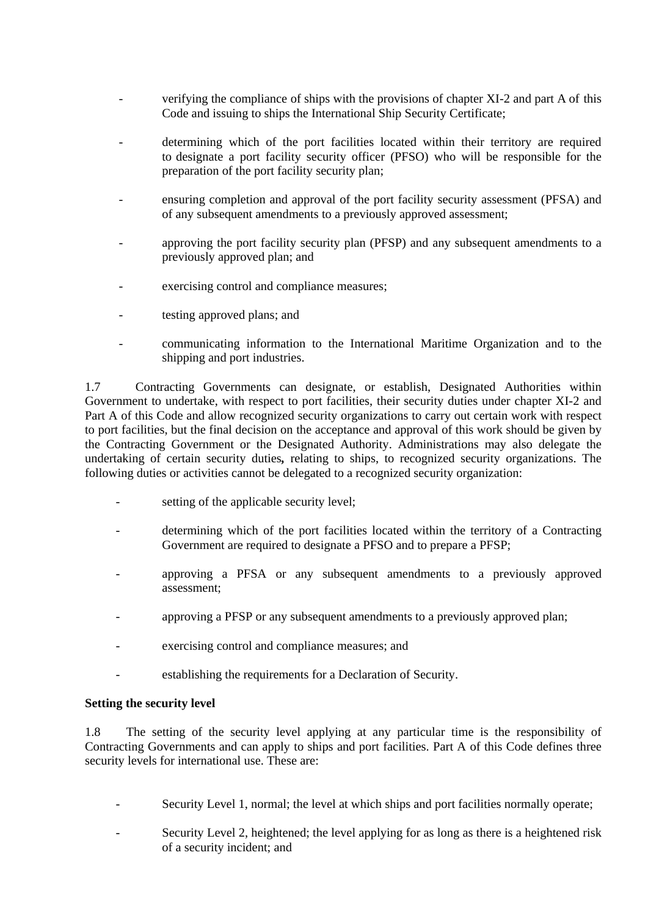- verifying the compliance of ships with the provisions of chapter XI-2 and part A of this Code and issuing to ships the International Ship Security Certificate;
- determining which of the port facilities located within their territory are required to-designate a port facility security officer (PFSO) who will be responsible for the preparation of the port facility security plan;
- ensuring completion and approval of the port facility security assessment (PFSA) and of any subsequent amendments to a previously approved assessment;
- approving the port facility security plan (PFSP) and any subsequent amendments to a previously approved plan; and
- exercising control and compliance measures;
- testing approved plans; and
- communicating information to the International Maritime Organization and to the shipping and port industries.

1.7 Contracting Governments can designate, or establish, Designated Authorities within Government to undertake, with respect to port facilities, their security duties under chapter XI-2 and Part A of this Code and allow recognized security organizations to carry out certain work with respect to port facilities, but the final decision on the acceptance and approval of this work should be given by the Contracting Government or the Designated Authority. Administrations may also delegate the undertaking of certain security duties*,* relating to ships, to recognized security organizations. The following duties or activities cannot be delegated to a recognized security organization:

- setting of the applicable security level;
- determining which of the port facilities located within the territory of a Contracting Government are required to designate a PFSO and to prepare a PFSP;
- approving a PFSA or any subsequent amendments to a previously approved assessment;
- approving a PFSP or any subsequent amendments to a previously approved plan:
- exercising control and compliance measures; and
- establishing the requirements for a Declaration of Security.

### **Setting the security level**

1.8 The setting of the security level applying at any particular time is the responsibility of Contracting Governments and can apply to ships and port facilities. Part A of this Code defines three security levels for international use. These are:

- Security Level 1, normal; the level at which ships and port facilities normally operate;
- Security Level 2, heightened; the level applying for as long as there is a heightened risk of a security incident; and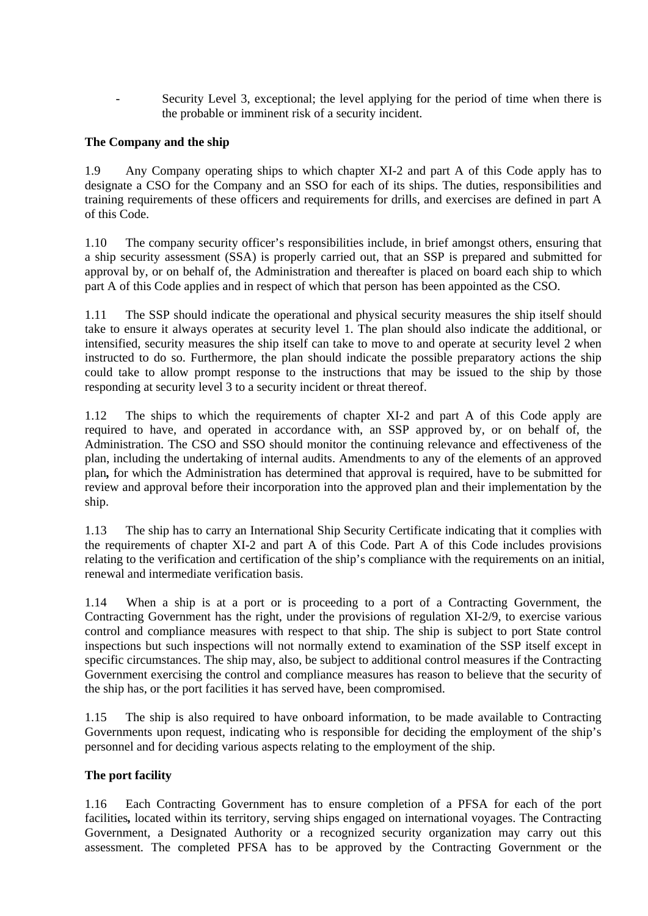Security Level 3, exceptional; the level applying for the period of time when there is the probable or imminent risk of a security incident.

# **The Company and the ship**

1.9 Any Company operating ships to which chapter XI-2 and part A of this Code apply has to designate a CSO for the Company and an SSO for each of its ships. The duties, responsibilities and training requirements of these officers and requirements for drills, and exercises are defined in part A of this Code.

1.10 The company security officer's responsibilities include, in brief amongst others, ensuring that a ship security assessment (SSA) is properly carried out, that an SSP is prepared and submitted for approval by, or on behalf of, the Administration and thereafter is placed on board each ship to which part A of this Code applies and in respect of which that person-has been appointed as the CSO.

1.11 The SSP should indicate the operational and physical security measures the ship itself should take to ensure it always operates at security level 1. The plan should also indicate the additional, or intensified, security measures the ship itself can take to move to and operate at security level 2 when instructed to do so. Furthermore, the plan should indicate the possible preparatory actions the ship could take to allow prompt response to the instructions that may be issued to the ship by those responding at security level 3 to a security incident or threat thereof.

1.12 The ships to which the requirements of chapter XI-2 and part A of this Code apply are required to have, and operated in accordance with, an SSP approved by, or on behalf of, the Administration. The CSO and SSO should monitor the continuing relevance and effectiveness of the plan, including the undertaking of internal audits. Amendments to any of the elements of an approved plan*,* for which the Administration has determined that approval is required, have to be submitted for review and approval before their incorporation into the approved plan and their implementation by the ship.

1.13 The ship has to carry an International Ship Security Certificate indicating that it complies with the requirements of chapter XI-2 and part A of this Code. Part A of this Code includes provisions relating to the verification and certification of the ship's compliance with the requirements on an initial, renewal and intermediate verification basis.

1.14 When a ship is at a port or is proceeding to a port of a Contracting Government, the Contracting Government has the right, under the provisions of regulation XI-2/9, to exercise various control and compliance measures with respect to that ship. The ship is subject to port State control inspections but such inspections will not normally extend to examination of the SSP itself except in specific circumstances. The ship may, also, be subject to additional control measures if the Contracting Government exercising the control and compliance measures has reason to believe that the security of the ship has, or the port facilities it has served have, been compromised.

1.15 The ship is also required to have onboard information, to be made available to Contracting Governments upon request, indicating who is responsible for deciding the employment of the ship's personnel and for deciding various aspects relating to the employment of the ship.

### **The port facility**

1.16 Each Contracting Government has to ensure completion of a PFSA for each of the port facilities, located within its territory, serving ships engaged on international voyages. The Contracting Government, a Designated Authority or a recognized security organization may carry out this assessment. The completed PFSA has to be approved by the Contracting Government or the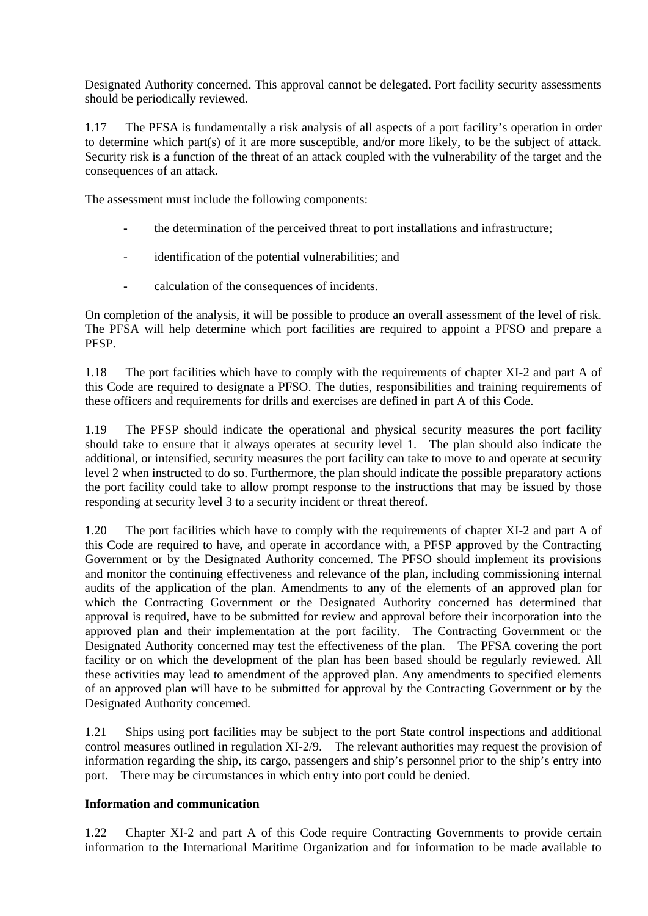Designated Authority concerned. This approval cannot be delegated. Port facility security assessments should be periodically reviewed.

1.17 The PFSA is fundamentally a risk analysis of all aspects of a port facility's operation in order to determine which part(s) of it are more susceptible, and/or more likely, to be the subject of attack. Security risk is a function of the threat of an attack coupled with the vulnerability of the target and the consequences of an attack.

The assessment must include the following components:

- the determination of the perceived threat to port installations and infrastructure;
- identification of the potential vulnerabilities; and
- calculation of the consequences of incidents.

On completion of the analysis, it will be possible to produce an overall assessment of the level of risk. The PFSA will help determine which port facilities are required to appoint a PFSO and prepare a PFSP.

1.18 The port facilities which have to comply with the requirements of chapter XI-2 and part A of this Code are required to designate a PFSO. The duties, responsibilities and training requirements of these officers and requirements for drills and exercises are defined in-part A of this Code.

1.19 The PFSP should indicate the operational and physical security measures the port facility should take to ensure that it always operates at security level 1. The plan should also indicate the additional, or intensified, security measures the port facility can take to move to and operate at security level 2 when instructed to do so. Furthermore, the plan should indicate the possible preparatory actions the port facility could take to allow prompt response to the instructions that may be issued by those responding at security level 3 to a security incident or threat thereof.

1.20 The port facilities which have to comply with the requirements of chapter XI-2 and part A of this Code are required to have*,* and operate in accordance with, a PFSP approved by the Contracting Government or by the Designated Authority concerned. The PFSO should implement its provisions and monitor the continuing effectiveness and relevance of the plan, including commissioning internal audits of the application of the plan. Amendments to any of the elements of an approved plan for which the Contracting Government or the Designated Authority concerned has determined that approval is required, have to be submitted for review and approval before their incorporation into the approved plan and their implementation at the port facility. The Contracting Government or the Designated Authority concerned may test the effectiveness of the plan. The PFSA covering the port facility or on which the development of the plan has been based should be regularly reviewed. All these activities may lead to amendment of the approved plan. Any amendments to specified elements of an approved plan will have to be submitted for approval by the Contracting Government or by the Designated Authority concerned.

1.21 Ships using port facilities may be subject to the port State control inspections and additional control measures outlined in regulation XI-2/9. The relevant authorities may request the provision of information regarding the ship, its cargo, passengers and ship's personnel prior to-the ship's entry into port. There may be circumstances in which entry into port could be denied.

### **Information and communication**

1.22 Chapter XI-2 and part A of this Code require Contracting Governments to provide certain information to the International Maritime Organization and for information to be made available to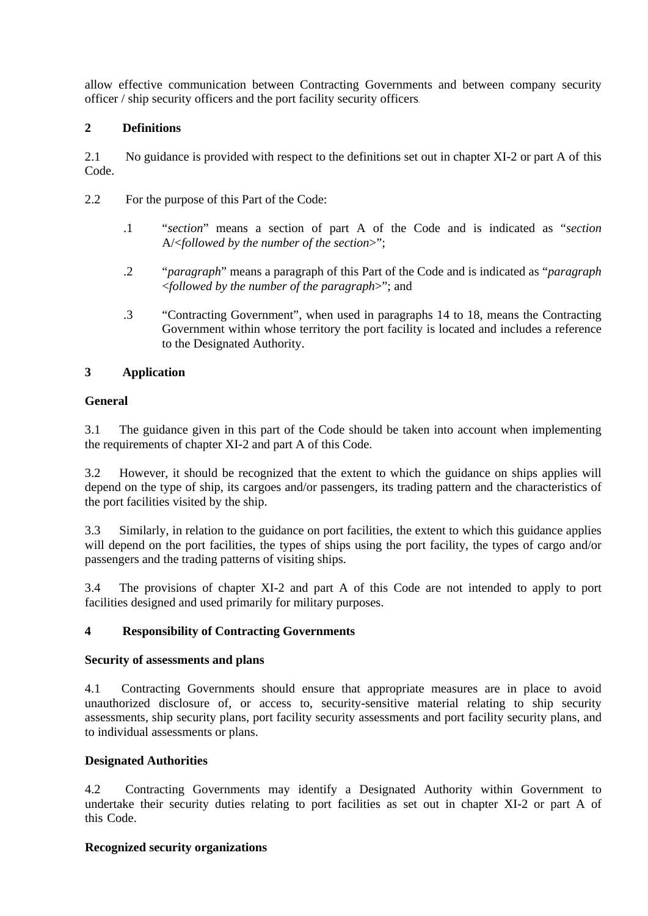allow effective communication between Contracting Governments and between company security officer / ship security officers and the port facility security officers.

# **2 Definitions**

2.1 No guidance is provided with respect to the definitions set out in chapter XI-2 or part A of this Code.

- 2.2 For the purpose of this Part of the Code:
	- .1 "*section*" means a section of part A of the Code and is indicated as "*section*  A/<*followed by the number of the section*>";
	- .2 "*paragraph*" means a paragraph of this Part of the Code and is indicated as "*paragraph* <*followed by the number of the paragraph*>"; and
	- .3 "Contracting Government", when used in paragraphs 14 to 18, means the Contracting Government within whose territory the port facility is located and includes a reference to the Designated Authority.

# **3 Application**

### **General**

3.1 The guidance given in this part of the Code should be taken into account when implementing the requirements of chapter XI-2 and part A of this Code.

3.2 However, it should be recognized that the extent to which the guidance on ships applies will depend on the type of ship, its cargoes and/or passengers, its trading pattern and the characteristics of the port facilities visited by the ship.

3.3 Similarly, in relation to the guidance on port facilities, the extent to which this guidance applies will depend on the port facilities, the types of ships using the port facility, the types of cargo and/or passengers and the trading patterns of visiting ships.

3.4 The provisions of chapter XI-2 and part A of this Code are not intended to apply to port facilities designed and used primarily for military purposes.

# **4 Responsibility of Contracting Governments**

### **Security of assessments and plans**

4.1 Contracting Governments should ensure that appropriate measures are in place to avoid unauthorized disclosure of, or access to, security-sensitive material relating to ship security assessments, ship security plans, port facility security assessments and port facility security plans, and to individual assessments or plans.

### **Designated Authorities**

4.2 Contracting Governments may identify a Designated Authority within Government to undertake their security duties relating to port facilities as set out in chapter XI-2 or part A of this Code.

### **Recognized security organizations**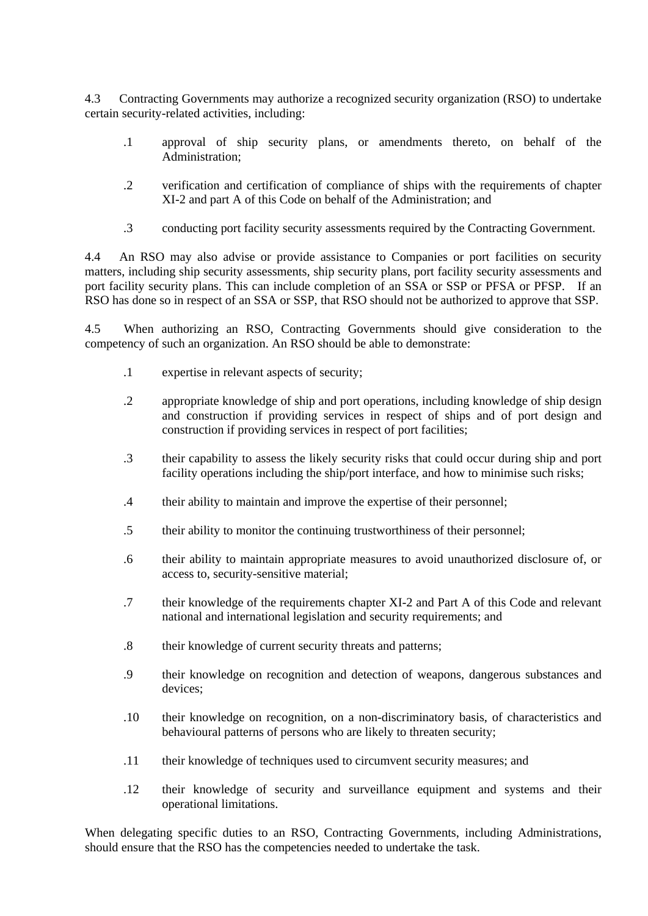4.3 Contracting Governments may authorize a recognized security organization (RSO) to undertake certain security-related activities, including:

- .1 approval of ship security plans, or amendments thereto, on behalf of the Administration;
- .2 verification and certification of compliance of ships with the requirements of chapter XI-2 and part A of this Code on behalf of the Administration; and
- .3 conducting port facility security assessments required by the Contracting Government.

4.4 An RSO may also advise or provide assistance to Companies or port facilities on security matters, including ship security assessments, ship security plans, port facility security assessments and port facility security plans. This can include completion of an SSA or SSP or PFSA or PFSP. If an RSO has done so in respect of an SSA or SSP, that RSO should not be authorized to approve that SSP.

4.5 When authorizing an RSO, Contracting Governments should give consideration to the competency of such an organization. An RSO should be able to demonstrate:

- .1 expertise in relevant aspects of security;
- .2 appropriate knowledge of ship and port operations, including knowledge of ship design and construction if providing services in respect of ships and of port design and construction if providing services in respect of port facilities;
- .3 their capability to assess the likely security risks that could occur during ship and port facility operations including the ship/port interface, and how to minimise such risks;
- .4 their ability to maintain and improve the expertise of their personnel;
- .5 their ability to monitor the continuing trustworthiness of their personnel;
- .6 their ability to maintain appropriate measures to avoid unauthorized disclosure of, or access to, security-sensitive material;
- .7 their knowledge of the requirements chapter XI-2 and Part A of this Code and relevant national and international legislation and security requirements; and
- .8 their knowledge of current security threats and patterns;
- .9 their knowledge on recognition and detection of weapons, dangerous substances and devices;
- .10 their knowledge on recognition, on a non-discriminatory basis, of characteristics and behavioural patterns of persons who are likely to threaten security;
- .11 their knowledge of techniques used to circumvent security measures; and
- .12 their knowledge of security and surveillance equipment and systems and their operational limitations.

When delegating specific duties to an RSO, Contracting Governments, including Administrations, should ensure that the RSO has the competencies needed to undertake the task.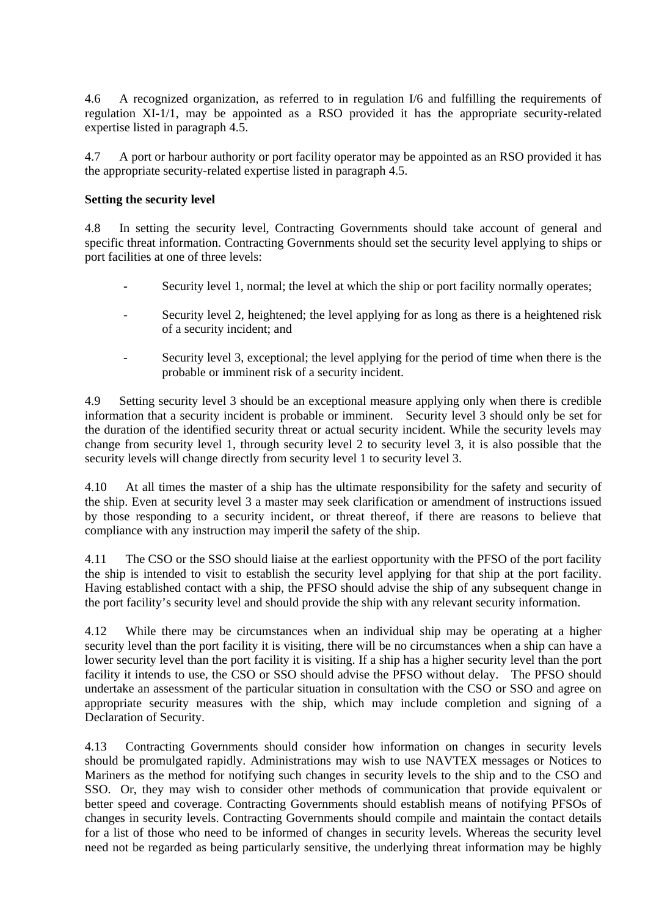4.6 A recognized organization, as referred to in regulation I/6 and fulfilling the requirements of regulation XI-1/1, may be appointed as a RSO provided it has the appropriate security-related expertise listed in paragraph 4.5.

4.7 A port or harbour authority or port facility operator may be appointed as an RSO provided it has the appropriate security-related expertise listed in paragraph 4.5.

#### **Setting the security level**

4.8 In setting the security level, Contracting Governments should take account of general and specific threat information. Contracting Governments should set the security level applying to ships or port facilities at one of three levels:

- Security level 1, normal; the level at which the ship or port facility normally operates;
- Security level 2, heightened; the level applying for as long as there is a heightened risk of a security incident; and
- Security level 3, exceptional; the level applying for the period of time when there is the probable or imminent risk of a security incident.

4.9 Setting security level 3 should be an exceptional measure applying only when there is credible information that a security incident is probable or imminent. Security level 3 should only be set for the duration of the identified security threat or actual security incident. While the security levels may change from security level 1, through security level 2 to security level 3, it is also possible that the security levels will change directly from security level 1 to security level 3.

4.10 At all times the master of a ship has the ultimate responsibility for the safety and security of the ship. Even at security level 3 a master may seek clarification or amendment of instructions issued by those responding to a security incident, or threat thereof, if there are reasons to believe that compliance with any instruction may imperil the safety of the ship.

4.11 The CSO or the SSO should liaise at the earliest opportunity with the PFSO of the port facility the ship is intended to visit to establish the security level applying for that ship at the port facility. Having established contact with a ship, the PFSO should advise the ship of any subsequent change in the port facility's security level and should provide the ship with any relevant security information.

4.12 While there may be circumstances when an individual ship may be operating at a higher security level than the port facility it is visiting, there will be no circumstances when a ship can have a lower security level than the port facility it is visiting. If a ship has a higher security level than the port facility it intends to use, the CSO or SSO should advise the PFSO without delay. The PFSO should undertake an assessment of the particular situation in consultation with the CSO or SSO and agree on appropriate security measures with the ship, which may include completion and signing of a Declaration of Security.

4.13 Contracting Governments should consider how information on changes in security levels should be promulgated rapidly. Administrations may wish to use NAVTEX messages or Notices to Mariners as the method for notifying such changes in security levels to the ship and to the CSO and SSO. Or, they may wish to consider other methods of communication that provide equivalent or better speed and coverage. Contracting Governments should establish means of notifying PFSOs of changes in security levels. Contracting Governments should compile and maintain the contact details for a list of those who need to be informed of changes in security levels. Whereas the security level need not be regarded as being particularly sensitive, the underlying threat information may be highly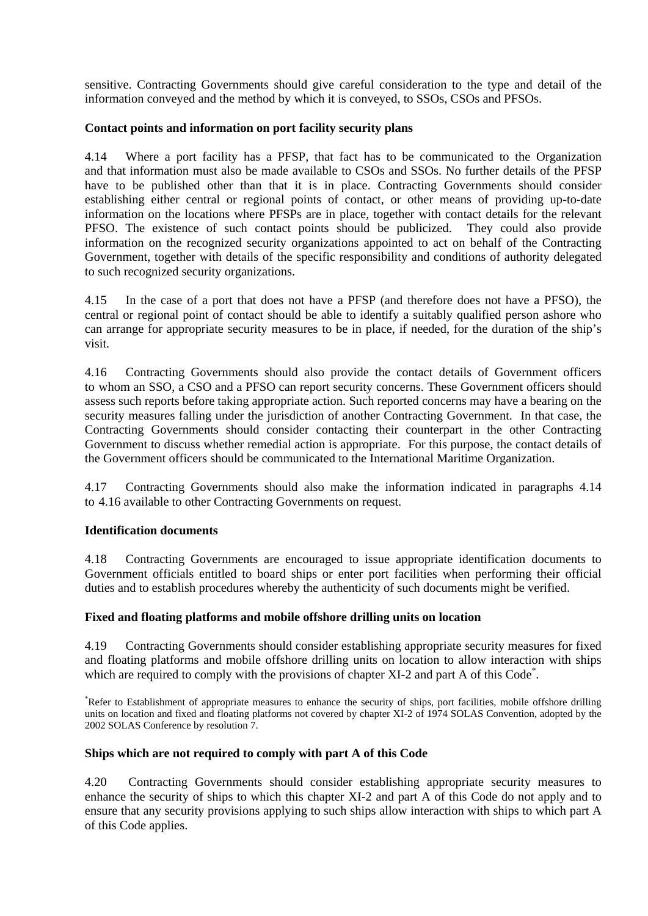sensitive. Contracting Governments should give careful consideration to the type and detail of the information conveyed and the method by which it is conveyed, to SSOs, CSOs and PFSOs.

### **Contact points and information on port facility security plans**

4.14 Where a port facility has a PFSP, that fact has to be communicated to the Organization and-that information must also be made available to CSOs and SSOs. No further details of the PFSP have to be published other than that it is in place. Contracting Governments should consider establishing either central or regional points of contact, or other means of providing up-to-date information on the locations where PFSPs are in place, together with contact details for the relevant PFSO. The existence of such contact points should be publicized. They could also provide information on the recognized security organizations appointed to act on behalf of the Contracting Government, together with details of the specific responsibility and conditions of authority delegated to such recognized security organizations.

4.15 In the case of a port that does not have a PFSP (and therefore does not have a PFSO), the central or regional point of contact should be able to identify a suitably qualified person ashore who can arrange for appropriate security measures to be in place, if needed, for the duration of the ship's visit.

4.16 Contracting Governments should also provide the contact details of Government officers to-whom an SSO, a CSO and a PFSO can report security concerns. These Government officers should assess such reports before taking appropriate action. Such reported concerns may have a bearing on the security measures falling under the jurisdiction of another Contracting Government. In that case, the Contracting Governments should consider contacting their counterpart in the other Contracting Government to discuss whether remedial action is appropriate. For this purpose, the contact details of the Government officers should be communicated to the International Maritime Organization.

4.17 Contracting Governments should also make the information indicated in paragraphs 4.14 to-4.16 available to other Contracting Governments on request.

### **Identification documents**

4.18 Contracting Governments are encouraged to issue appropriate identification documents to Government officials entitled to board ships or enter port facilities when performing their official duties and to establish procedures whereby the authenticity of such documents might be verified.

### **Fixed and floating platforms and mobile offshore drilling units on location**

4.19 Contracting Governments should consider establishing appropriate security measures for fixed and floating platforms and mobile offshore drilling units on location to allow interaction with ships which are required to comply with the provisions of chapter XI-2 and part A of this Code<sup>\*</sup>.

\* Refer to Establishment of appropriate measures to enhance the security of ships, port facilities, mobile offshore drilling units on location and fixed and floating platforms not covered by chapter XI-2 of 1974 SOLAS Convention, adopted by the 2002 SOLAS Conference by resolution 7.

### **Ships which are not required to comply with part A of this Code**

4.20 Contracting Governments should consider establishing appropriate security measures to enhance the security of ships to which this chapter XI-2 and part A of this Code do not apply and to ensure that any security provisions applying to such ships allow interaction with ships to which part A of this Code applies.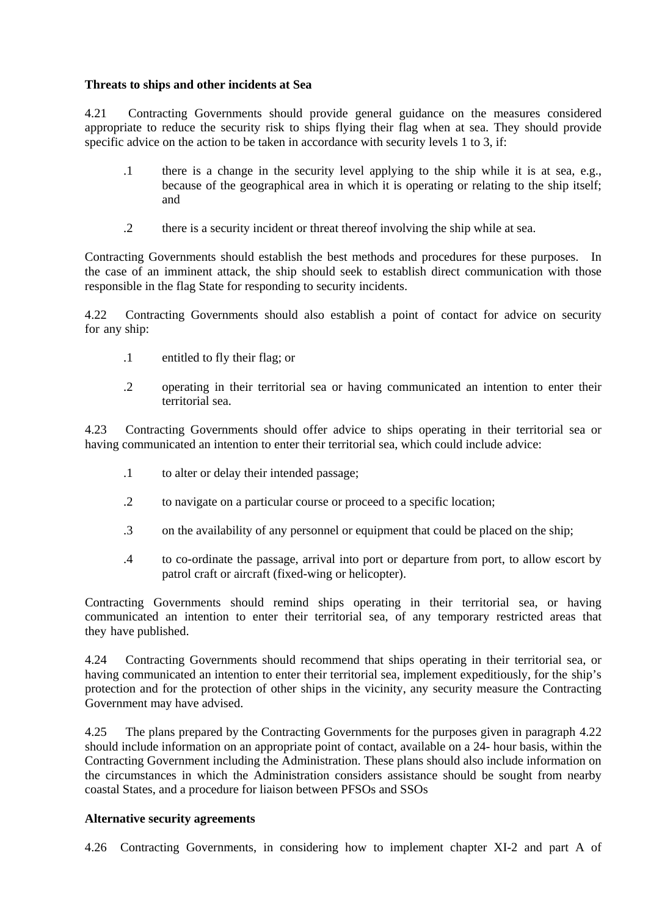### **Threats to ships and other incidents at Sea**

4.21 Contracting Governments should provide general guidance on the measures considered appropriate to reduce the security risk to ships flying their flag when at sea. They should provide specific advice on the action to be taken in accordance with security levels 1 to 3, if:

- .1 there is a change in the security level applying to the ship while it is at sea, e.g., because of the geographical area in which it is operating or relating to the ship itself; and
- .2 there is a security incident or threat thereof involving the ship while at sea.

Contracting Governments should establish the best methods and procedures for these purposes. In the case of an imminent attack, the ship should seek to establish direct communication with those responsible in the flag State for responding to security incidents.

4.22 Contracting Governments should also establish a point of contact for advice on security for any ship:

- .1 entitled to fly their flag; or
- .2 operating in their territorial sea or having communicated an intention to enter their territorial sea.

4.23 Contracting Governments should offer advice to ships operating in their territorial sea or having communicated an intention to enter their territorial sea, which could include advice:

- .1 to alter or delay their intended passage;
- .2 to navigate on a particular course or proceed to a specific location;
- .3 on the availability of any personnel or equipment that could be placed on the ship;
- .4 to co-ordinate the passage, arrival into port or departure from port, to allow escort by patrol craft or aircraft (fixed-wing or helicopter).

Contracting Governments should remind ships operating in their territorial sea, or having communicated an intention to enter their territorial sea, of any temporary restricted areas that they have published.

4.24 Contracting Governments should recommend that ships operating in their territorial sea, or having communicated an intention to enter their territorial sea, implement expeditiously, for the ship's protection and for the protection of other ships in the vicinity, any security measure the Contracting Government may have advised.

4.25 The plans prepared by the Contracting Governments for the purposes given in paragraph 4.22 should include information on an appropriate point of contact, available on a 24- hour basis, within the Contracting Government including the Administration. These plans should also include information on the circumstances in which the Administration considers assistance should be sought from nearby coastal States, and a procedure for liaison between PFSOs and SSOs

### **Alternative security agreements**

4.26 Contracting Governments, in considering how to implement chapter XI-2 and part A of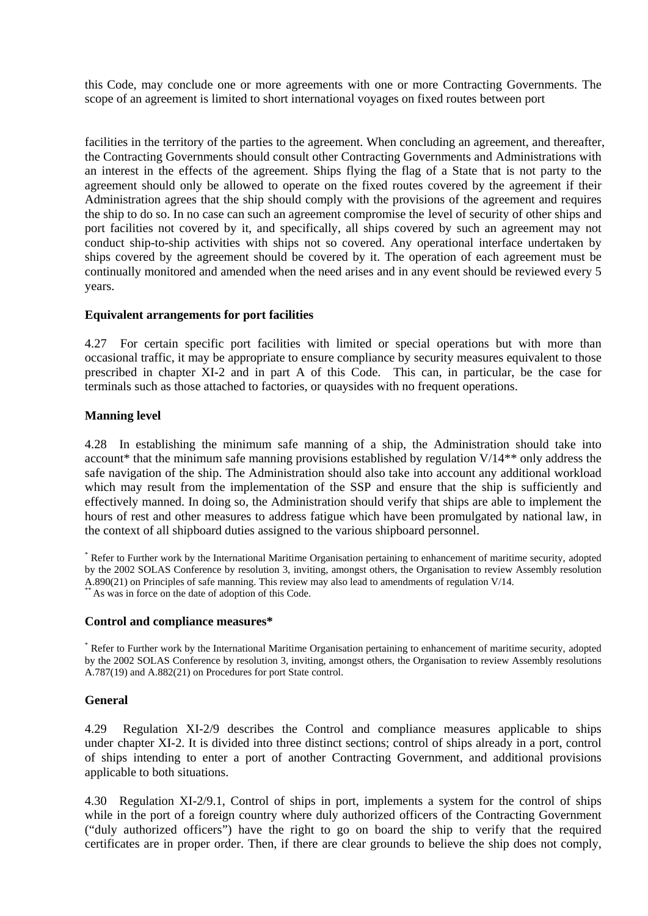this-Code, may conclude one or more agreements with one or more Contracting Governments. The scope of an agreement is limited to short international voyages on fixed routes between port

facilities in the territory of the parties to the agreement. When concluding an agreement, and thereafter, the Contracting Governments should consult other Contracting Governments and Administrations with an interest in the effects of the agreement. Ships flying the flag of a State that is not party to the agreement should only be allowed to operate on the fixed routes covered by the agreement if their Administration agrees that the ship should comply with the provisions of the agreement and requires the ship to do so. In no case can such an agreement compromise the level of security of other ships and port facilities not covered by it, and specifically, all ships covered by such an agreement may not conduct ship-to-ship activities with ships not so covered. Any operational interface undertaken by ships covered by the agreement should be covered by it. The operation of each agreement must be continually monitored and amended when the need arises and in any event should be reviewed every 5 years.

#### **Equivalent arrangements for port facilities**

4.27 For certain specific port facilities with limited or special operations but with more than occasional traffic, it may be appropriate to ensure compliance by security measures equivalent to those prescribed in chapter XI-2 and in part A of this Code. This can, in particular, be the case for terminals such as those attached to factories, or quaysides with no frequent operations.

#### **Manning level**

4.28 In establishing the minimum safe manning of a ship, the Administration should take into account\* that the minimum safe manning provisions established by regulation V/14\*\* only address the safe navigation of the ship. The Administration should also take into account any additional workload which may result from the implementation of the SSP and ensure that the ship is sufficiently and effectively manned. In doing so, the Administration should verify that ships are able to implement the hours of rest and other measures to address fatigue which have been promulgated by national law, in the context of all shipboard duties assigned to the various shipboard personnel.

\* Refer to Further work by the International Maritime Organisation pertaining to enhancement of maritime security,-adopted by the 2002 SOLAS Conference by resolution 3, inviting, amongst others, the Organisation to review Assembly resolution A.890(21) on Principles of safe manning. This review may also lead to amendments of regulation V/14.<br>\*\* As was in force on the date of adoption of this Code.

#### **Control and compliance measures\***

\* Refer to Further work by the International Maritime Organisation pertaining to enhancement of maritime security, adopted by the 2002 SOLAS Conference by resolution 3, inviting, amongst others, the Organisation to review Assembly resolutions A.787(19) and A.882(21) on Procedures for port State control.

#### **General**

4.29 Regulation XI-2/9 describes the Control and compliance measures applicable to ships under-chapter XI-2. It is divided into three distinct sections; control of ships already in a port, control of ships intending to enter a port of another Contracting Government, and additional provisions applicable to both situations.

4.30 Regulation XI-2/9.1, Control of ships in port, implements a system for the control of ships while in the port of a foreign country where duly authorized officers of the Contracting Government ("duly authorized officers") have the right to go on board the ship to verify that the required certificates are in proper order. Then, if there are clear grounds to believe the ship does not comply,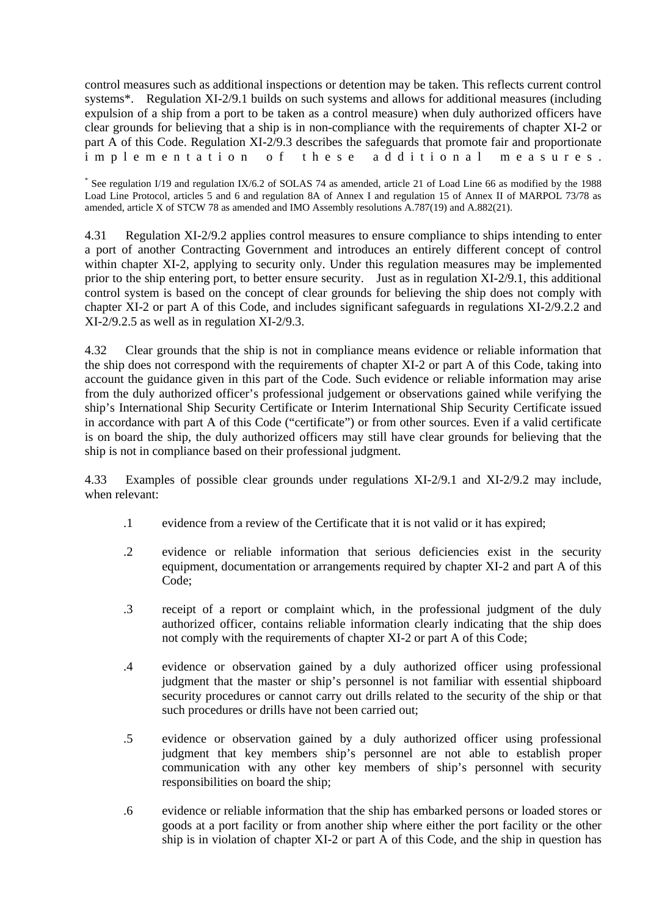control measures such as additional inspections or detention may be taken. This reflects current control systems\*. Regulation XI-2/9.1 builds on such systems and allows for additional measures (including expulsion of a ship from a port to be taken as a control measure) when duly authorized officers have clear grounds for believing that a ship is in non-compliance with the requirements of chapter XI-2 or part A of this Code. Regulation XI-2/9.3 describes the safeguards that promote fair and proportionate implementation of these additional measures.

\* See regulation I/19 and regulation IX/6.2 of SOLAS 74 as amended, article 21 of Load Line 66 as modified by the-1988 Load Line Protocol, articles 5 and 6 and regulation 8A of Annex I and regulation 15 of Annex II of MARPOL 73/78 as amended, article X of STCW 78 as amended and IMO Assembly resolutions A.787(19) and A.882(21).

4.31 Regulation XI-2/9.2 applies control measures to ensure compliance to ships intending to enter a port of another Contracting Government and introduces an entirely different concept of control within chapter XI-2, applying to security only. Under this regulation measures may be implemented prior to the ship entering port, to better ensure security. Just as in regulation XI-2/9.1, this additional control system is based on the concept of clear grounds for believing the ship does not comply with chapter XI-2 or part A of this Code, and includes significant safeguards in regulations XI-2/9.2.2 and XI-2/9.2.5 as well as in regulation XI-2/9.3.

4.32 Clear grounds that the ship is not in compliance means evidence or reliable information that the ship does not correspond with the requirements of chapter XI-2 or part A of this Code, taking into account the guidance given in this part of the Code. Such evidence or reliable information may arise from the duly authorized officer's professional judgement or observations gained while verifying the ship's International Ship Security Certificate or Interim International Ship Security Certificate issued in accordance with part A of this Code ("certificate") or from other sources. Even if a valid certificate is on board the ship, the duly authorized officers may still have clear grounds for believing that the ship is not in compliance based on their professional judgment.

4.33 Examples of possible clear grounds under regulations XI-2/9.1 and XI-2/9.2 may include, when relevant:

- .1 evidence from a review of the Certificate that it is not valid or it has expired;
- .2 evidence or reliable information that serious deficiencies exist in the security equipment, documentation or arrangements required by chapter XI-2 and part A of this Code;
- .3 receipt of a report or complaint which, in the professional judgment of the duly authorized officer, contains reliable information clearly indicating that the ship does not comply with the requirements of chapter XI-2 or part A of this Code;
- .4 evidence or observation gained by a duly authorized officer using professional judgment that the master or ship's personnel is not familiar with essential shipboard security procedures or cannot carry out drills related to the security of the ship or that such procedures or drills have not been carried out;
- .5 evidence or observation gained by a duly authorized officer using professional judgment that key members ship's personnel are not able to establish proper communication with any other key members of ship's personnel with security responsibilities on board the ship;
- .6 evidence or reliable information that the ship has embarked persons or loaded stores or goods at a port facility or from another ship where either the port facility or the other ship is in violation of chapter XI-2 or part A of this Code, and the ship in question has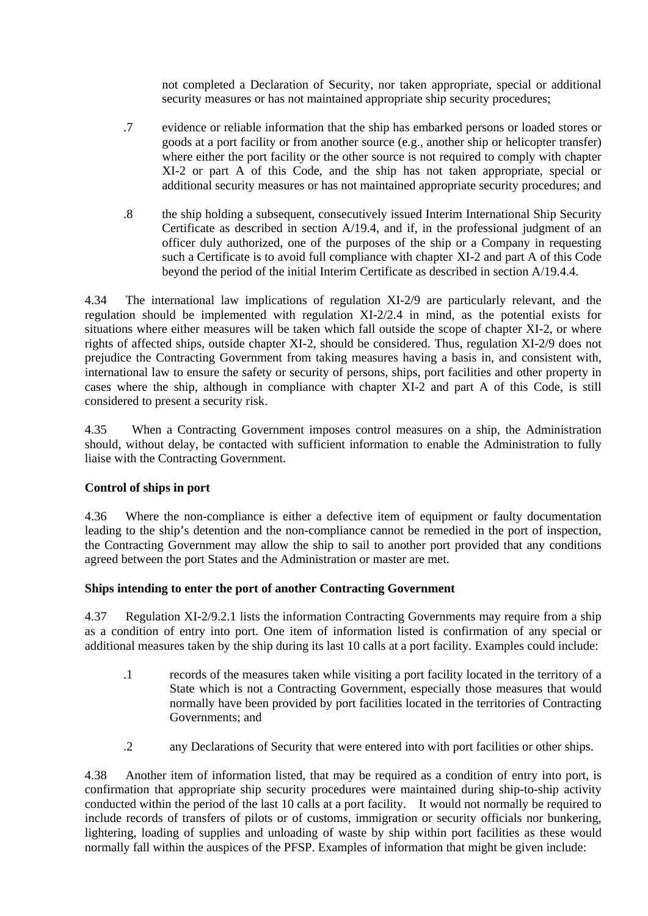not completed a Declaration of Security, nor taken appropriate, special or additional security measures or has not maintained appropriate ship security procedures;

- .7 evidence or reliable information that the ship has embarked persons or loaded stores or goods at a port facility or from another source (e.g., another ship or helicopter transfer) where either the port facility or the other source is not required to comply with chapter XI-2 or part A of this Code, and the ship has not taken appropriate, special or additional security measures or has not maintained appropriate security procedures; and
- .8 the ship holding a subsequent, consecutively issued Interim International Ship Security Certificate as described in section A/19.4, and if, in the professional judgment of an officer duly authorized, one of the purposes of the ship or a Company in requesting such a Certificate is to avoid full compliance with chapter-XI-2 and part A of this Code beyond the period of the initial Interim Certificate as described in section A/19.4.4.

4.34 The international law implications of regulation XI-2/9 are particularly relevant, and the regulation should be implemented with regulation XI-2/2.4 in mind, as the potential exists for situations where either measures will be taken which fall outside the scope of chapter XI-2, or where rights of affected ships, outside chapter XI-2, should be considered. Thus, regulation XI-2/9 does not prejudice the Contracting Government from taking measures having a basis in, and consistent with, international law to ensure the safety or security of persons, ships, port facilities and other property in cases where the ship, although in compliance with chapter XI-2 and part A of this Code, is still considered to present a security risk.

4.35 When a Contracting Government imposes control measures on a ship, the Administration should, without delay, be contacted with sufficient information to enable the Administration to fully liaise with the Contracting Government.

### **Control of ships in port**

4.36 Where the non-compliance is either a defective item of equipment or faulty documentation leading to the ship's detention and the non-compliance cannot be remedied in the port of inspection, the Contracting Government may allow the ship to sail to another port provided that any conditions agreed between the port States and the Administration or master are met.

### **Ships intending to enter the port of another Contracting Government**

4.37 Regulation XI-2/9.2.1 lists the information Contracting Governments may require from a ship as a condition of entry into port. One item of information listed is confirmation of any special or additional measures taken by the ship during its last 10 calls at a port facility. Examples could include:

- .1 records of the measures taken while visiting a port facility located in the territory of a State which is not a Contracting Government, especially those measures that would normally have been provided by port facilities located in the territories of Contracting Governments; and
- .2 any Declarations of Security that were entered into with port facilities or other ships.

4.38 Another item of information listed, that may be required as a condition of entry into port, is confirmation that appropriate ship security procedures were maintained during ship-to-ship activity conducted within the period of the last 10 calls at a port facility. It would not normally be required to include records of transfers of pilots or of customs, immigration or security officials nor bunkering, lightering, loading of supplies and unloading of waste by ship within port facilities as these would normally fall within the auspices of the PFSP. Examples of information that might be given include: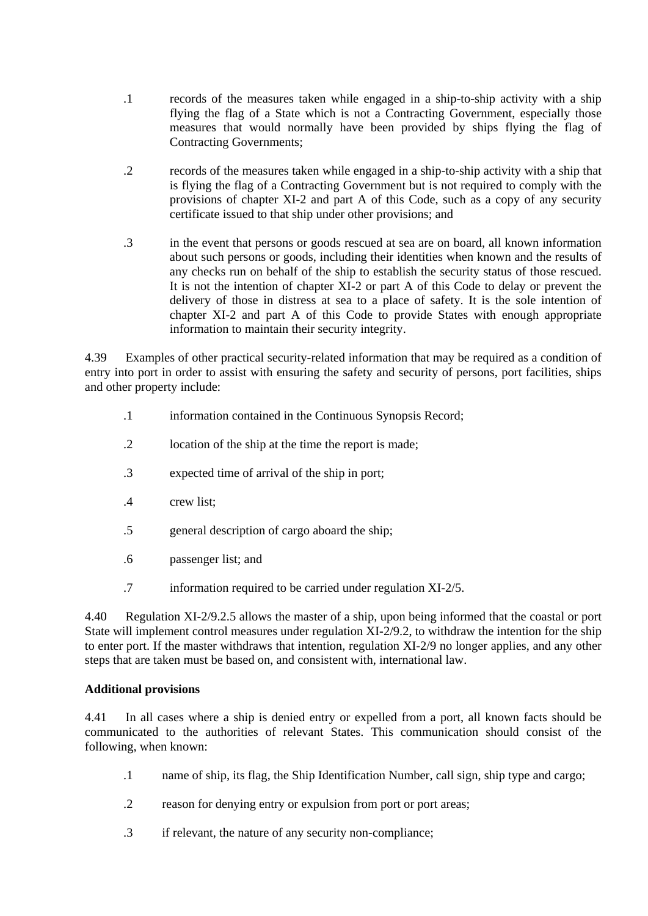- .1 records of the measures taken while engaged in a ship-to-ship activity with a ship flying the flag of a State which is not a Contracting Government, especially those measures that would normally have been provided by ships flying the flag of Contracting Governments;
- .2 records of the measures taken while engaged in a ship-to-ship activity with a ship that is flying the flag of a Contracting Government but is not required to comply with the provisions of chapter XI-2 and part A of this Code, such as a copy of any security certificate issued to that ship under other provisions; and
- .3 in the event that persons or goods rescued at sea are on board, all known information about such persons or goods, including their identities when known and the results of any checks run on behalf of the ship to establish the security status of those rescued. It is not the intention of chapter XI-2 or part A of this Code to delay or prevent the delivery of those in distress at sea to a place of safety. It is the sole intention of chapter XI-2 and part A of this Code to provide States with enough appropriate information to maintain their security integrity.

4.39 Examples of other practical security-related information that may be required as a condition of entry into port in order to assist with ensuring the safety and security of persons, port facilities, ships and other property include:

- .1 information contained in the Continuous Synopsis Record;
- .2 location of the ship at the time the report is made;
- .3 expected time of arrival of the ship in port;
- .4 crew list;
- .5 general description of cargo aboard the ship;
- .6 passenger list; and
- .7 information required to be carried under regulation XI-2/5.

4.40 Regulation XI-2/9.2.5 allows the master of a ship, upon being informed that the coastal or port State will implement control measures under regulation XI-2/9.2, to withdraw the intention for the ship to enter port. If the master withdraws that intention, regulation XI-2/9 no longer applies, and any other steps that are taken must be based on, and consistent with, international law.

### **Additional provisions**

4.41 In all cases where a ship is denied entry or expelled from a port, all known facts should be communicated to the authorities of relevant States. This communication should consist of the following, when known:

- .1 name of ship, its flag, the Ship Identification Number, call sign, ship type and cargo;
- .2 reason for denying entry or expulsion from port or port areas;
- .3 if relevant, the nature of any security non-compliance;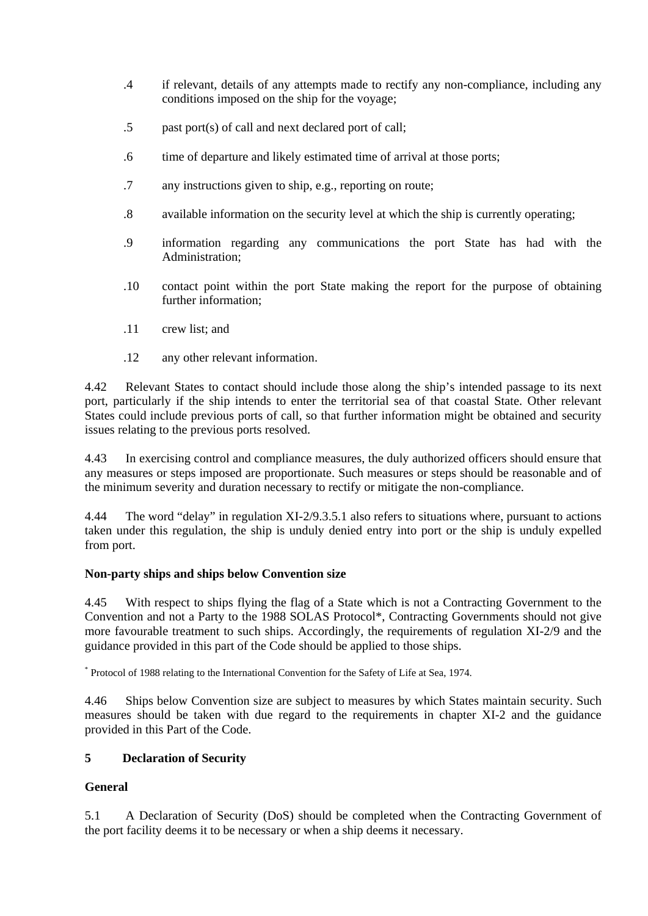- .4 if relevant, details of any attempts made to rectify any non-compliance, including any conditions imposed on the ship for the voyage;
- .5 past port(s) of call and next declared port of call;
- .6 time of departure and likely estimated time of arrival at those ports;
- .7 any instructions given to ship, e.g., reporting on route;
- .8 available information on the security level at which the ship is currently operating;
- .9 information regarding any communications the port State has had with the Administration;
- .10 contact point within the port State making the report for the purpose of obtaining further information;
- .11 crew list; and
- .12 any other relevant information.

4.42 Relevant States to contact should include those along the ship's intended passage to its next port, particularly if the ship intends to enter the territorial sea of that coastal State. Other relevant States could include previous ports of call, so that further information might be obtained and security issues relating to the previous ports resolved.

4.43 In exercising control and compliance measures, the duly authorized officers should ensure that any measures or steps imposed are proportionate. Such measures or steps should be reasonable and of the minimum severity and duration necessary to rectify or mitigate the non-compliance.

4.44 The word "delay" in regulation XI-2/9.3.5.1 also refers to situations where, pursuant to actions taken under this regulation, the ship is unduly denied entry into port or the ship is unduly expelled from port.

# **Non-party ships and ships below Convention size**

4.45 With respect to ships flying the flag of a State which is not a Contracting Government to the Convention and not a Party to the 1988 SOLAS Protocol\*, Contracting Governments should not give more favourable treatment to such ships. Accordingly, the requirements of regulation XI-2/9 and the guidance provided in this part of the Code should be applied to those ships.

\* Protocol of 1988 relating to the International Convention for the Safety of Life at Sea, 1974.

4.46 Ships below Convention size are subject to measures by which States maintain security. Such measures should be taken with due regard to the requirements in chapter XI-2 and the guidance provided in this Part of the Code.

# **5 Declaration of Security**

# **General**

5.1 A Declaration of Security (DoS) should be completed when the Contracting Government of the port facility deems it to be necessary or when a ship deems it necessary.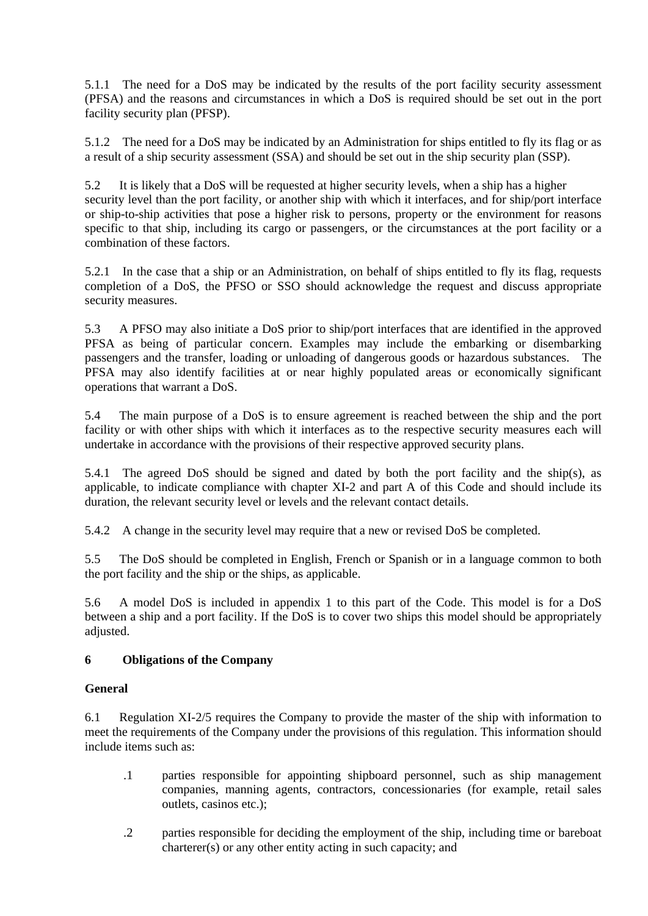5.1.1 The need for a DoS may be indicated by the results of the port facility security assessment (PFSA) and the reasons and circumstances in which a DoS is required should be set out in the port facility security plan (PFSP).

5.1.2 The need for a DoS may be indicated by an Administration for ships entitled to fly its flag or as a result of a ship security assessment (SSA) and should be set out in the ship security plan (SSP).

5.2 It is likely that a DoS will be requested at higher security levels, when a ship has a higher security level than the port facility, or another ship with which it interfaces, and for ship/port interface or ship-to-ship activities that pose a higher risk to persons, property or the environment for reasons specific to that ship, including its cargo or passengers, or the circumstances at the port facility or a combination of these factors.

5.2.1 In the case that a ship or an Administration, on behalf of ships entitled to fly its flag, requests completion of a DoS, the PFSO or SSO should acknowledge the request and discuss appropriate security measures.

5.3 A PFSO may also initiate a DoS prior to ship/port interfaces that are identified in the approved PFSA as being of particular concern. Examples may include the embarking or disembarking passengers and the transfer, loading or unloading of dangerous goods or hazardous substances. The PFSA may also identify facilities at or near highly populated areas or economically significant operations that warrant a DoS.

5.4 The main purpose of a DoS is to ensure agreement is reached between the ship and the port facility or with other ships with which it interfaces as to the respective security measures each will undertake in accordance with the provisions of their respective approved security plans.

5.4.1 The agreed DoS should be signed and dated by both the port facility and the ship(s), as applicable, to indicate compliance with chapter XI-2 and part A of this Code and should include its duration, the relevant security level or levels and the relevant contact details.

5.4.2 A change in the security level may require that a new or revised DoS be completed.

5.5 The DoS should be completed in English, French or Spanish or in a language common to both the port facility and the ship or the ships, as applicable.

5.6 A model DoS is included in appendix 1 to this part of the Code. This model is for a DoS between a ship and a port facility. If the DoS is to cover two ships this model should be appropriately adjusted.

# **6 Obligations of the Company**

### **General**

6.1 Regulation XI-2/5 requires the Company to provide the master of the ship with information-to meet the requirements of the Company under the provisions of this regulation. This information should include items such as:

- .1 parties responsible for appointing shipboard personnel, such as ship management companies, manning agents, contractors, concessionaries (for example, retail sales outlets, casinos etc.);
- .2 parties responsible for deciding the employment of the ship, including time or bareboat charterer(s) or any other entity acting in such capacity; and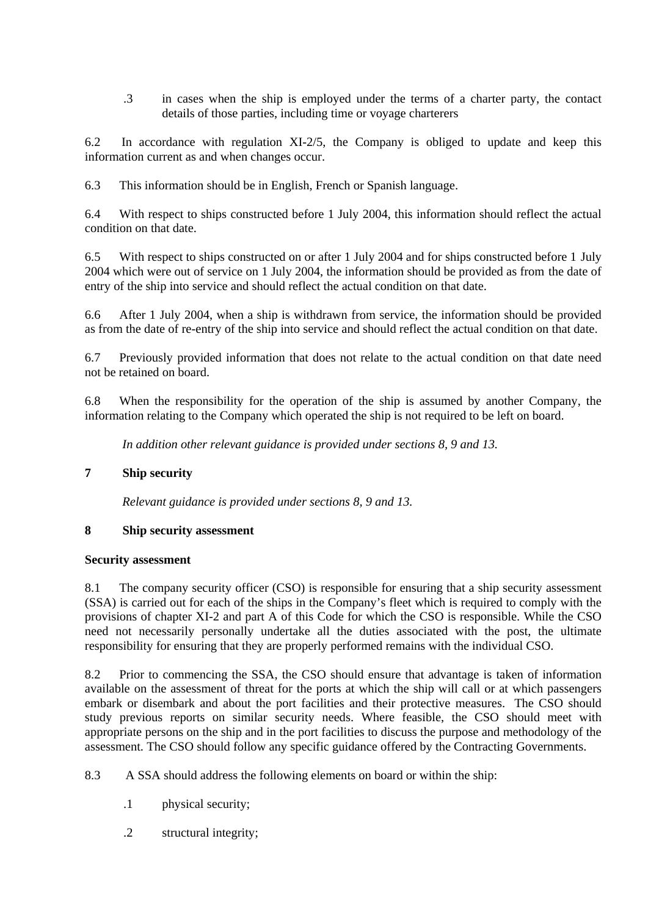.3 in cases when the ship is employed under the terms of a charter party, the contact details of those parties, including time or voyage charterers

6.2 In accordance with regulation XI-2/5, the Company is obliged to update and keep this information current as and when changes occur.

6.3 This information should be in English, French or Spanish language.

6.4 With respect to ships constructed before 1 July 2004, this information should reflect the actual condition on that date.

6.5 With respect to ships constructed on or after 1 July 2004 and for ships constructed before 1-July 2004 which were out of service on 1 July 2004, the information should be provided as from-the date of entry of the ship into service and should reflect the actual condition on that date.

6.6 After 1 July 2004, when a ship is withdrawn from service, the information should be provided as from the date of re-entry of the ship into service and should reflect the actual condition on that date.

6.7 Previously provided information that does not relate to the actual condition on that date need not be retained on board.

6.8 When the responsibility for the operation of the ship is assumed by another Company, the information relating to the Company which operated the ship is not required to be left on board.

*In addition other relevant guidance is provided under sections 8, 9 and 13.*

### **7 Ship security**

*Relevant guidance is provided under sections 8, 9 and 13.*

### **8 Ship security assessment**

#### **Security assessment**

8.1 The company security officer (CSO) is responsible for ensuring that a ship security assessment (SSA) is carried out for each of the ships in the Company's fleet which is required to comply with the provisions of chapter XI-2 and part A of this Code for which the CSO is responsible. While the CSO need not necessarily personally undertake all the duties associated with the post, the ultimate responsibility for ensuring that they are properly performed remains with the individual CSO.

8.2 Prior to commencing the SSA, the CSO should ensure that advantage is taken of information available on the assessment of threat for the ports at which the ship will call or at which passengers embark or disembark and about the port facilities and their protective measures. The CSO should study previous reports on similar security needs. Where feasible, the CSO should meet with appropriate persons on the ship and in the port facilities to discuss the purpose and methodology of the assessment. The CSO should follow any specific guidance offered by the Contracting Governments.

8.3 A SSA should address the following elements on board or within the ship:

- .1 physical security;
- .2 structural integrity;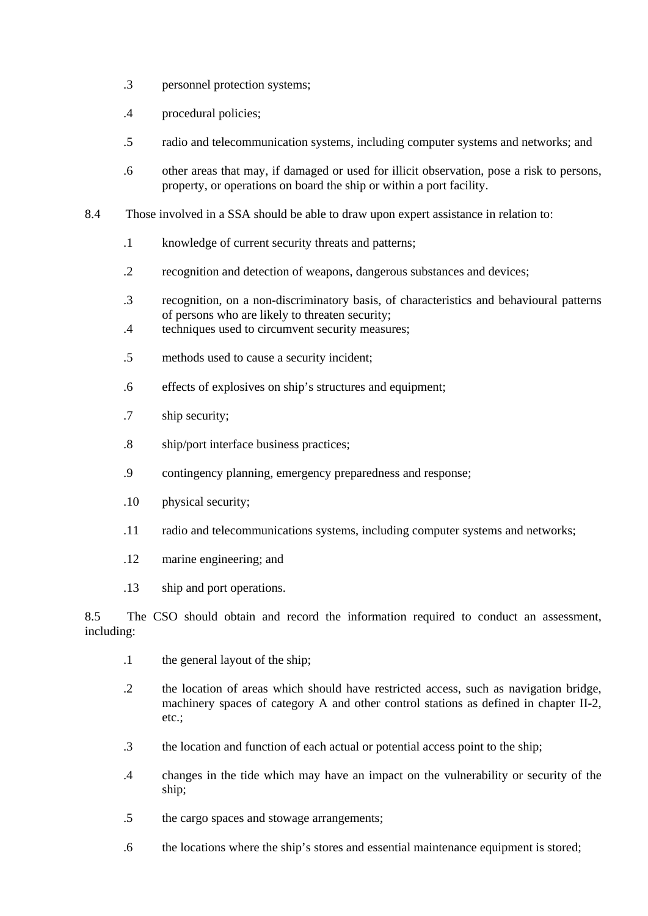- .3 personnel protection systems;
- .4 procedural policies;
- .5 radio and telecommunication systems, including computer systems and networks; and
- .6 other areas that may, if damaged or used for illicit observation, pose a risk to persons, property, or operations on board the ship or within a port facility.
- 8.4 Those involved in a SSA should be able to draw upon expert assistance in relation to:
	- .1 knowledge of current security threats and patterns;
	- .2 recognition and detection of weapons, dangerous substances and devices;
	- .3 recognition, on a non-discriminatory basis, of characteristics and behavioural patterns of persons who are likely to threaten security;
	- .4 techniques used to circumvent security measures;
	- .5 methods used to cause a security incident;
	- .6 effects of explosives on ship's structures and equipment;
	- .7 ship security;
	- .8 ship/port interface business practices;
	- .9 contingency planning, emergency preparedness and response;
	- .10 physical security;
	- .11 radio and telecommunications systems, including computer systems and networks;
	- .12 marine engineering; and
	- .13 ship and port operations.

8.5 The CSO should obtain and record the information required to conduct an assessment, including:

- .1 the general layout of the ship;
- .2 the location of areas which should have restricted access, such as navigation bridge, machinery spaces of category A and other control stations as defined in chapter II-2, etc.;
- .3 the location and function of each actual or potential access point to the ship;
- .4 changes in the tide which may have an impact on the vulnerability or security of the ship;
- .5 the cargo spaces and stowage arrangements;
- .6 the locations where the ship's stores and essential maintenance equipment is stored;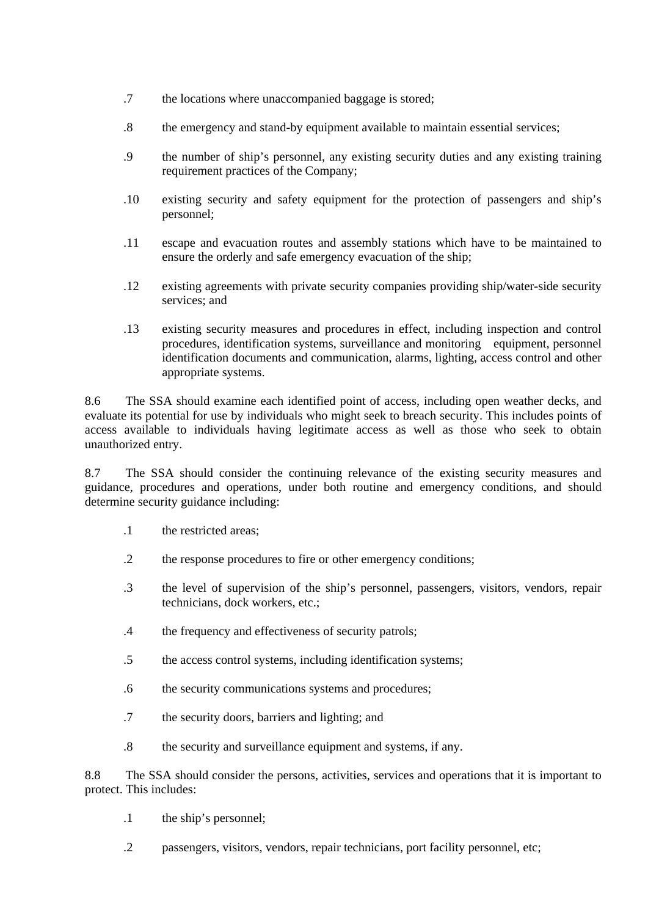- .7 the locations where unaccompanied baggage is stored;
- .8 the emergency and stand-by equipment available to maintain essential services;
- .9 the number of ship's personnel, any existing security duties and any existing training requirement practices of the Company;
- .10 existing security and safety equipment for the protection of passengers and ship's personnel;
- .11 escape and evacuation routes and assembly stations which have to be maintained to ensure the orderly and safe emergency evacuation of the ship;
- .12 existing agreements with private security companies providing ship/water-side security services; and
- .13 existing security measures and procedures in effect, including inspection and control procedures, identification systems, surveillance and monitoring equipment, personnel identification documents and communication, alarms, lighting, access control and other appropriate systems.

8.6 The SSA should examine each identified point of access, including open weather decks, and evaluate its potential for use by individuals who might seek to breach security. This includes points of access available to individuals having legitimate access as well as those who seek to obtain unauthorized entry.

8.7 The SSA should consider the continuing relevance of the existing security measures and guidance, procedures and operations, under both routine and emergency conditions, and should determine security guidance including:

- .1 the restricted areas;
- .2 the response procedures to fire or other emergency conditions;
- .3 the level of supervision of the ship's personnel, passengers, visitors, vendors, repair technicians, dock workers, etc.;
- .4 the frequency and effectiveness of security patrols;
- .5 the access control systems, including identification systems;
- .6 the security communications systems and procedures;
- .7 the security doors, barriers and lighting; and
- .8 the security and surveillance equipment and systems, if any.

8.8 The SSA should consider the persons, activities, services and operations that it is important to protect. This includes:

- .1 the ship's personnel;
- .2 passengers, visitors, vendors, repair technicians, port facility personnel, etc;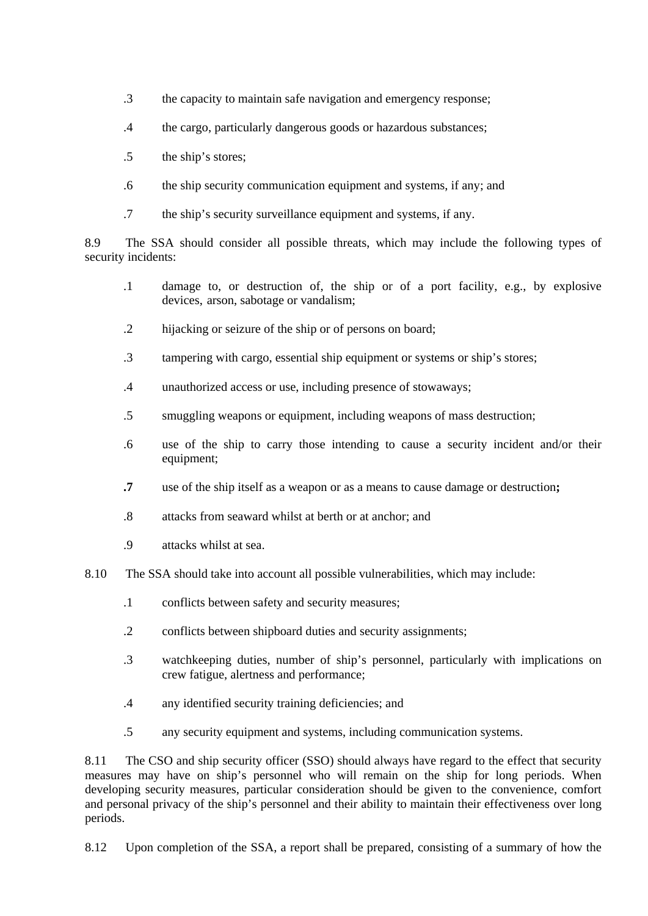- .3 the capacity to maintain safe navigation and emergency response;
- .4 the cargo, particularly dangerous goods or hazardous substances;
- .5 the ship's stores;
- .6 the ship security communication equipment and systems, if any; and
- .7 the ship's security surveillance equipment and systems, if any.

8.9 The SSA should consider all possible threats, which may include the following types of security incidents:

- .1 damage to, or destruction of, the ship or of a port facility, e.g., by explosive devices, arson, sabotage or vandalism;
- .2 hijacking or seizure of the ship or of persons on board;
- .3 tampering with cargo, essential ship equipment or systems or ship's stores;
- .4 unauthorized access or use, including presence of stowaways;
- .5 smuggling weapons or equipment, including weapons of mass destruction;
- .6 use of the ship to carry those intending to cause a security incident and/or their equipment;
- **.7** use of the ship itself as a weapon or as a means to cause damage or destruction**;**
- .8 attacks from seaward whilst at berth or at anchor; and
- .9 attacks whilst at sea.
- 8.10 The SSA should take into account all possible vulnerabilities, which may include:
	- .1 conflicts between safety and security measures;
	- .2 conflicts between shipboard duties and security assignments;
	- .3 watchkeeping duties, number of ship's personnel, particularly with implications on crew fatigue, alertness and performance;
	- .4 any identified security training deficiencies; and
	- .5 any security equipment and systems, including communication systems.

8.11 The CSO and ship security officer (SSO) should always have regard to the effect that security measures may have on ship's personnel who will remain on the ship for long periods. When developing security measures, particular consideration should be given to the convenience, comfort and personal privacy of the ship's personnel and their ability to maintain their effectiveness over long periods.

8.12 Upon completion of the SSA, a report shall be prepared, consisting of a summary of how the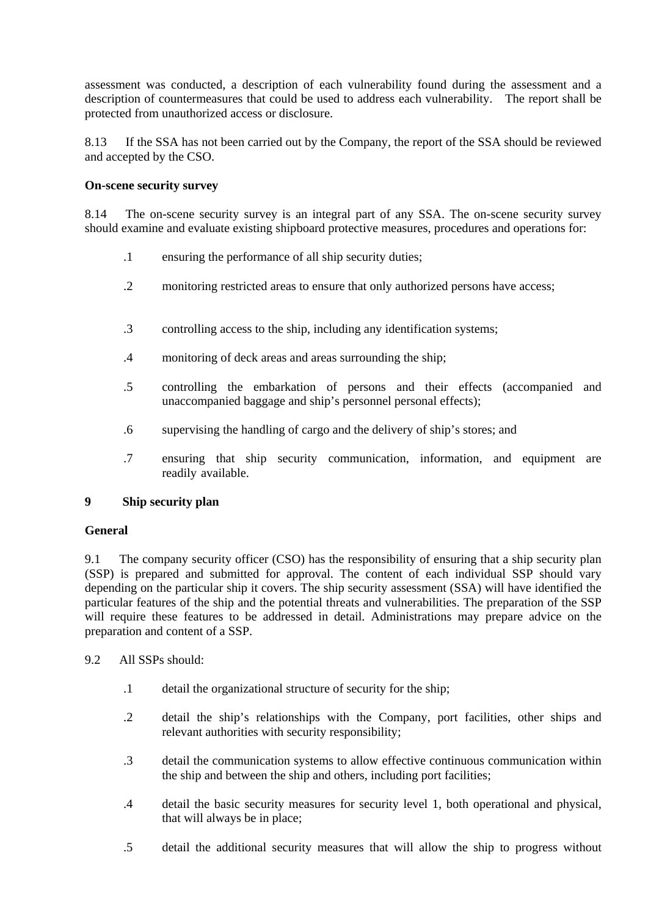assessment was conducted, a description of each vulnerability found during the assessment and a description of countermeasures that could be used to address each vulnerability. The report shall be protected from unauthorized access or disclosure.

8.13 If the SSA has not been carried out by the Company, the report of the SSA should be reviewed and accepted by the CSO.

### **On-scene security survey**

8.14 The on-scene security survey is an integral part of any SSA. The on-scene security survey should examine and evaluate existing shipboard protective measures, procedures and operations for:

- .1 ensuring the performance of all ship security duties;
- .2 monitoring restricted areas to ensure that only authorized persons have access;
- .3 controlling access to the ship, including any identification systems;
- .4 monitoring of deck areas and areas surrounding the ship;
- .5 controlling the embarkation of persons and their effects (accompanied and unaccompanied baggage and ship's personnel personal effects);
- .6 supervising the handling of cargo and the delivery of ship's stores; and
- .7 ensuring that ship security communication, information, and equipment are readily-available.

# **9 Ship security plan**

### **General**

9.1 The company security officer (CSO) has the responsibility of ensuring that a ship security plan (SSP) is prepared and submitted for approval. The content of each individual SSP should vary depending on the particular ship it covers. The ship security assessment (SSA) will have identified the particular features of the ship and the potential threats and vulnerabilities. The preparation of the SSP will require these features to be addressed in detail. Administrations may prepare advice on the preparation and content of a SSP.

- 9.2 All SSPs should:
	- .1 detail the organizational structure of security for the ship;
	- .2 detail the ship's relationships with the Company, port facilities, other ships and relevant authorities with security responsibility;
	- .3 detail the communication systems to allow effective continuous communication within the ship and between the ship and others, including port facilities;
	- .4 detail the basic security measures for security level 1, both operational and physical, that will always be in place;
	- .5 detail the additional security measures that will allow the ship to progress without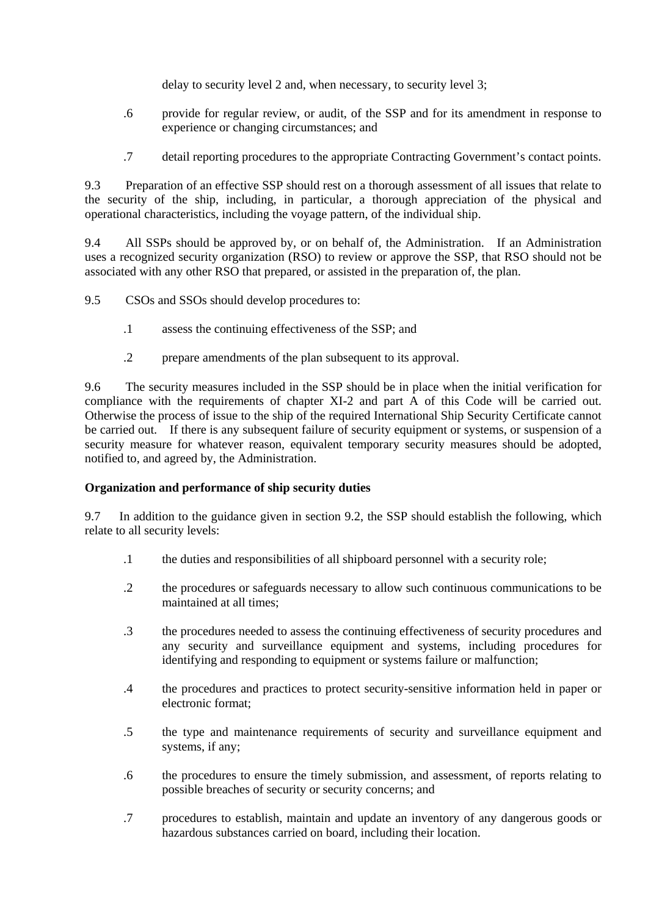delay to security level 2 and, when necessary, to security level 3;

- .6 provide for regular review, or audit, of the SSP and for its amendment in response to experience or changing circumstances; and
- .7 detail reporting procedures to the appropriate Contracting Government's contact points.

9.3 Preparation of an effective SSP should rest on a thorough assessment of all issues that relate to the security of the ship, including, in particular, a thorough appreciation of the physical and operational characteristics, including the voyage pattern, of the individual ship.

9.4 All SSPs should be approved by, or on behalf of, the Administration. If an Administration uses a recognized security organization (RSO) to review or approve the SSP, that RSO should not be associated with any other RSO that prepared, or assisted in the preparation of, the plan.

9.5 CSOs and SSOs should develop procedures to:

- .1 assess the continuing effectiveness of the SSP; and
- .2 prepare amendments of the plan subsequent to its approval.

9.6 The security measures included in the SSP should be in place when the initial verification for compliance with the requirements of chapter XI-2 and part A of this Code will be carried out. Otherwise the process of issue to the ship of the required International Ship Security Certificate cannot be carried out. If there is any subsequent failure of security equipment or systems, or suspension of a security measure for whatever reason, equivalent temporary security measures should be adopted, notified to, and agreed by, the Administration.

### **Organization and performance of ship security duties**

9.7 In addition to the guidance given in section 9.2, the SSP should establish the following, which relate to all security levels:

- .1 the duties and responsibilities of all shipboard personnel with a security role;
- .2 the procedures or safeguards necessary to allow such continuous communications to be maintained at all times;
- .3 the procedures needed to assess the continuing effectiveness of security procedures-and any security and surveillance equipment and systems, including procedures for identifying and responding to equipment or systems failure or malfunction;
- .4 the procedures and practices to protect security-sensitive information held in paper or electronic format;
- .5 the type and maintenance requirements of security and surveillance equipment and systems, if any;
- .6 the procedures to ensure the timely submission, and assessment, of reports relating to possible breaches of security or security concerns; and
- .7 procedures to establish, maintain and update an inventory of any dangerous goods-or hazardous substances carried on board, including their location.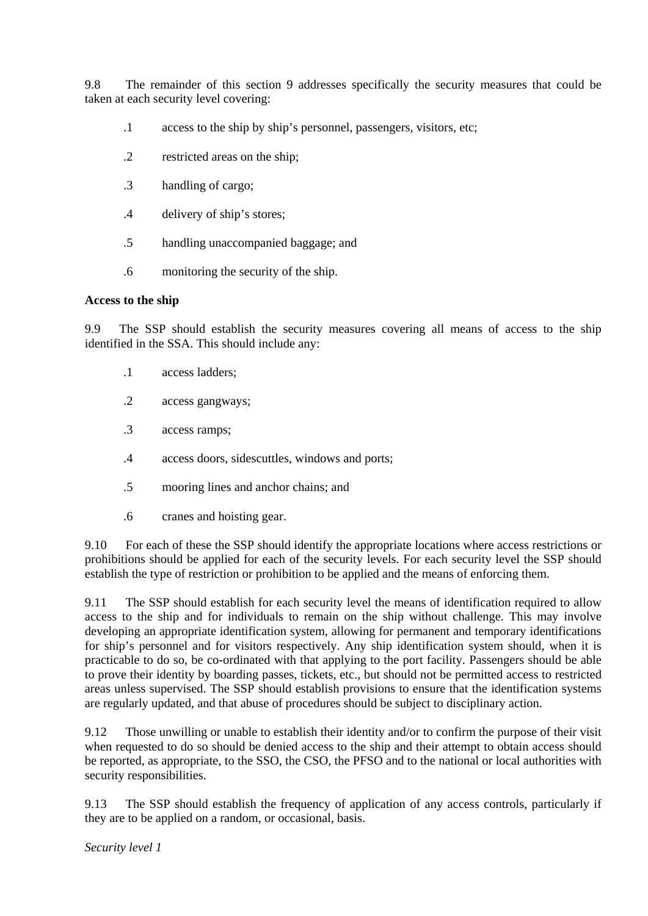9.8 The remainder of this section 9 addresses specifically the security measures that could be taken at each security level covering:

- .1 access to the ship by ship's personnel, passengers, visitors, etc;
- .2 restricted areas on the ship;
- .3 handling of cargo;
- .4 delivery of ship's stores;
- .5 handling unaccompanied baggage; and
- .6 monitoring the security of the ship.

#### **Access to the ship**

9.9 The SSP should establish the security measures covering all means of access to the ship identified in the SSA. This should include any:

- .1 access ladders;
- .2 access gangways;
- .3 access ramps;
- .4 access doors, sidescuttles, windows and ports;
- .5 mooring lines and anchor chains; and
- .6 cranes and hoisting gear.

9.10 For each of these the SSP should identify the appropriate locations where access restrictions or prohibitions should be applied for each of the security levels. For each security level the SSP should establish the type of restriction or prohibition to be applied and the means of enforcing them.

9.11 The SSP should establish for each security level the means of identification required to allow access to the ship and for individuals to remain on the ship without challenge. This may involve developing an appropriate identification system, allowing for permanent and temporary identifications for ship's personnel and for visitors respectively. Any ship identification system should, when it is practicable to do so, be co-ordinated with that applying to the port facility. Passengers should be able to prove their identity by boarding passes, tickets, etc., but should not be permitted access to restricted areas unless supervised. The SSP should establish provisions to ensure that the identification systems are regularly updated, and that abuse of procedures should be subject to disciplinary action.

9.12 Those unwilling or unable to establish their identity and/or to confirm the purpose of their visit when requested to do so should be denied access to the ship and their attempt to obtain access should be reported, as appropriate, to the SSO, the CSO, the PFSO and to the national or local authorities with security responsibilities.

9.13 The SSP should establish the frequency of application of any access controls, particularly if they are to be applied on a random, or occasional, basis.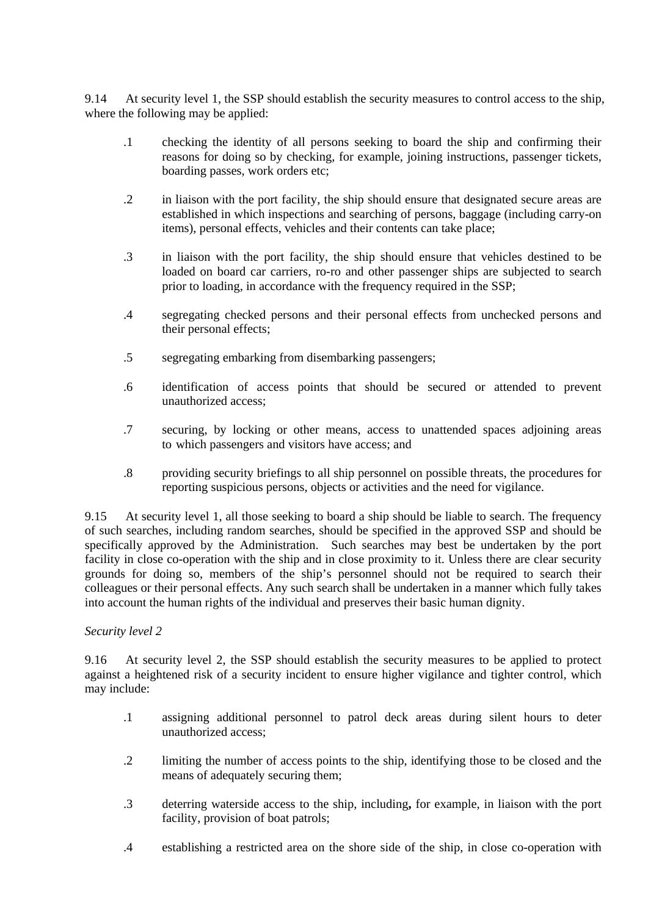9.14 At security level 1, the SSP should establish the security measures to control access to the ship, where the following may be applied:

- .1 checking the identity of all persons seeking to board the ship and confirming their reasons for doing so by checking, for example, joining instructions, passenger tickets, boarding passes, work orders etc;
- .2 in liaison with the port facility, the ship should ensure that designated secure areas are established in which inspections and searching of persons, baggage (including carry-on items), personal effects, vehicles and their contents can take place;
- .3 in liaison with the port facility, the ship should ensure that vehicles destined to be loaded on board car carriers, ro-ro and other passenger ships are subjected to search prior to loading, in accordance with the frequency required in the SSP;
- .4 segregating checked persons and their personal effects from unchecked persons and their personal effects;
- .5 segregating embarking from disembarking passengers;
- .6 identification of access points that should be secured or attended to prevent unauthorized access;
- .7 securing, by locking or other means, access to unattended spaces adjoining areas to-which passengers and visitors have access; and
- .8 providing security briefings to all ship personnel on possible threats, the procedures for reporting suspicious persons, objects or activities and the need for vigilance.

9.15 At security level 1, all those seeking to board a ship should be liable to search. The frequency of such searches, including random searches, should be specified in the approved SSP and should be specifically approved by the Administration. Such searches may best be undertaken by the port facility in close co-operation with the ship and in close proximity to it. Unless there are clear security grounds for doing so, members of the ship's personnel should not be required to search their colleagues or their personal effects. Any such search shall be undertaken in a manner which fully takes into account the human rights of the individual and preserves their basic human dignity.

### *Security level 2*

9.16 At security level 2, the SSP should establish the security measures to be applied to protect against a heightened risk of a security incident to ensure higher vigilance and tighter control, which may include:

- .1 assigning additional personnel to patrol deck areas during silent hours to deter unauthorized access;
- .2 limiting the number of access points to the ship, identifying those to be closed and the means of adequately securing them;
- .3 deterring waterside access to the ship, including**,** for example, in liaison with the port facility, provision of boat patrols;
- .4 establishing a restricted area on the shore side of the ship, in close co-operation with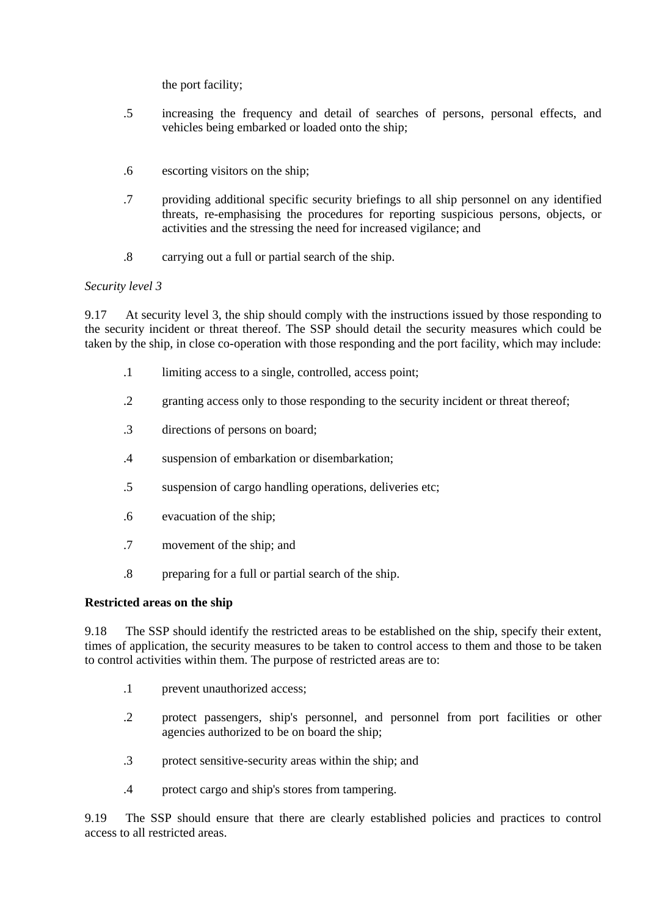the port facility;

- .5 increasing the frequency and detail of searches of persons, personal effects, and vehicles being embarked or loaded onto the ship;
- .6 escorting visitors on the ship;
- .7 providing additional specific security briefings to all ship personnel on any identified threats, re-emphasising the procedures for reporting suspicious persons, objects, or activities and the stressing the need for increased vigilance; and
- .8 carrying out a full or partial search of the ship.

### *Security level 3*

9.17 At security level 3, the ship should comply with the instructions issued by those responding to the security incident or threat thereof. The SSP should detail the security measures which could be taken by the ship, in close co-operation with those responding and the port facility, which may include:

- .1 limiting access to a single, controlled, access point;
- .2 granting access only to those responding to the security incident or threat thereof;
- .3 directions of persons on board;
- .4 suspension of embarkation or disembarkation;
- .5 suspension of cargo handling operations, deliveries etc;
- .6 evacuation of the ship;
- .7 movement of the ship; and
- .8 preparing for a full or partial search of the ship.

### **Restricted areas on the ship**

9.18 The SSP should identify the restricted areas to be established on the ship, specify their extent, times of application, the security measures to be taken to control access to them and those to be taken to control activities within them. The purpose of restricted areas are to:

- .1 prevent unauthorized access;
- .2 protect passengers, ship's personnel, and personnel from port facilities or other agencies authorized to be on board the ship;
- .3 protect sensitive-security areas within the ship; and
- .4 protect cargo and ship's stores from tampering.

9.19 The SSP should ensure that there are clearly established policies and practices to control access to all restricted areas.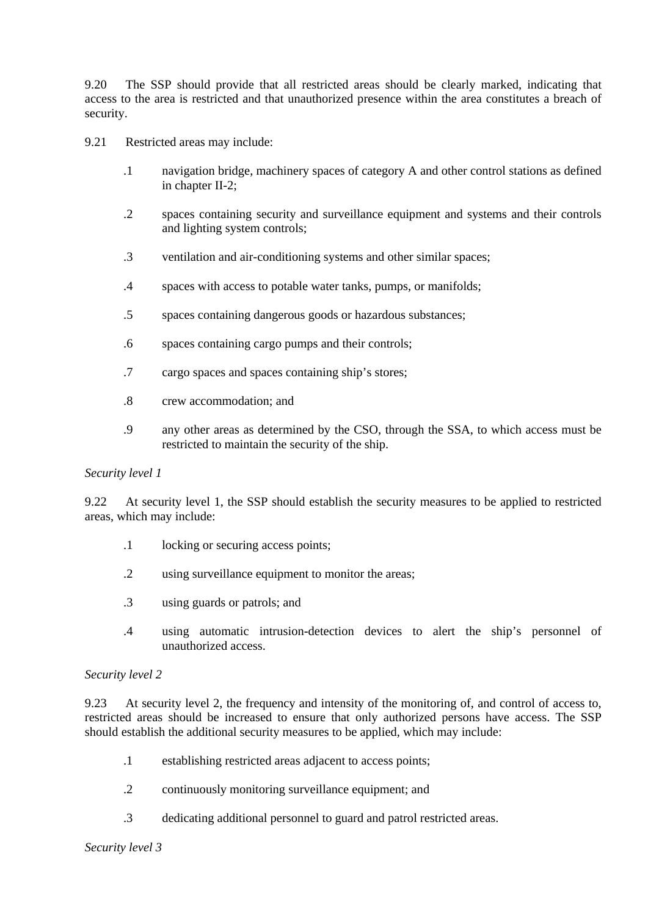9.20 The SSP should provide that all restricted areas should be clearly marked, indicating that access to the area is restricted and that unauthorized presence within the area constitutes a breach of security.

- 9.21 Restricted areas may include:
	- .1 navigation bridge, machinery spaces of category A and other control stations as defined in chapter II-2;
	- .2 spaces containing security and surveillance equipment and systems and their controls and lighting system controls;
	- .3 ventilation and air-conditioning systems and other similar spaces;
	- .4 spaces with access to potable water tanks, pumps, or manifolds;
	- .5 spaces containing dangerous goods or hazardous substances;
	- .6 spaces containing cargo pumps and their controls;
	- .7 cargo spaces and spaces containing ship's stores;
	- .8 crew accommodation; and
	- .9 any other areas as determined by the CSO, through the SSA, to which access must be restricted to maintain the security of the ship.

#### *Security level 1*

9.22 At security level 1, the SSP should establish the security measures to be applied to restricted areas, which may include:

- .1 locking or securing access points;
- .2 using surveillance equipment to monitor the areas;
- .3 using guards or patrols; and
- .4 using automatic intrusion-detection devices to alert the ship's personnel of unauthorized access.

#### *Security level 2*

9.23 At security level 2, the frequency and intensity of the monitoring of, and control of access to, restricted areas should be increased to ensure that only authorized persons have access. The SSP should establish the additional security measures to be applied, which may include:

- .1 establishing restricted areas adjacent to access points;
- .2 continuously monitoring surveillance equipment; and
- .3 dedicating additional personnel to guard and patrol restricted areas.

#### *Security level 3*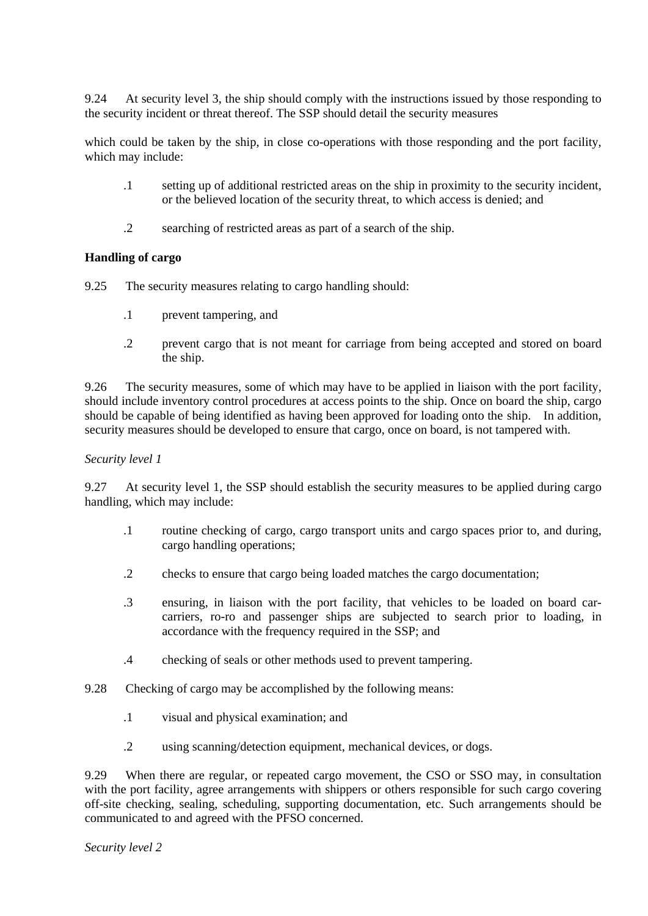9.24 At security level 3, the ship should comply with the instructions issued by those responding to the security incident or threat thereof. The SSP should detail the security measures

which could be taken by the ship, in close co-operations with those responding and the port facility, which may include:

- .1 setting up of additional restricted areas on the ship in proximity to the security incident, or the believed location of the security threat, to which access is denied; and
- .2 searching of restricted areas as part of a search of the ship.

### **Handling of cargo**

9.25 The security measures relating to cargo handling should:

- .1 prevent tampering, and
- .2 prevent cargo that is not meant for carriage from being accepted and stored on board the ship.

9.26 The security measures, some of which may have to be applied in liaison with the port facility, should include inventory control procedures at access points to the ship. Once on board the ship, cargo should be capable of being identified as having been approved for loading onto the ship. In addition, security measures should be developed to ensure that cargo, once on board, is not tampered with.

### *Security level 1*

9.27 At security level 1, the SSP should establish the security measures to be applied during cargo handling, which may include:

- .1 routine checking of cargo, cargo transport units and cargo spaces prior to, and during, cargo handling operations;
- .2 checks to ensure that cargo being loaded matches the cargo documentation;
- .3 ensuring, in liaison with the port facility, that vehicles to be loaded on board carcarriers, ro-ro and passenger ships are subjected to search prior to loading, in accordance with the frequency required in the SSP; and
- .4 checking of seals or other methods used to prevent tampering.
- 9.28 Checking of cargo may be accomplished by the following means:
	- .1 visual and physical examination; and
	- .2 using scanning/detection equipment, mechanical devices, or dogs.

9.29 When there are regular, or repeated cargo movement, the CSO or SSO may, in consultation with the port facility, agree arrangements with shippers or others responsible for such-cargo covering off-site checking, sealing, scheduling, supporting documentation, etc. Such arrangements should be communicated to and agreed with the PFSO concerned.

### *Security level 2*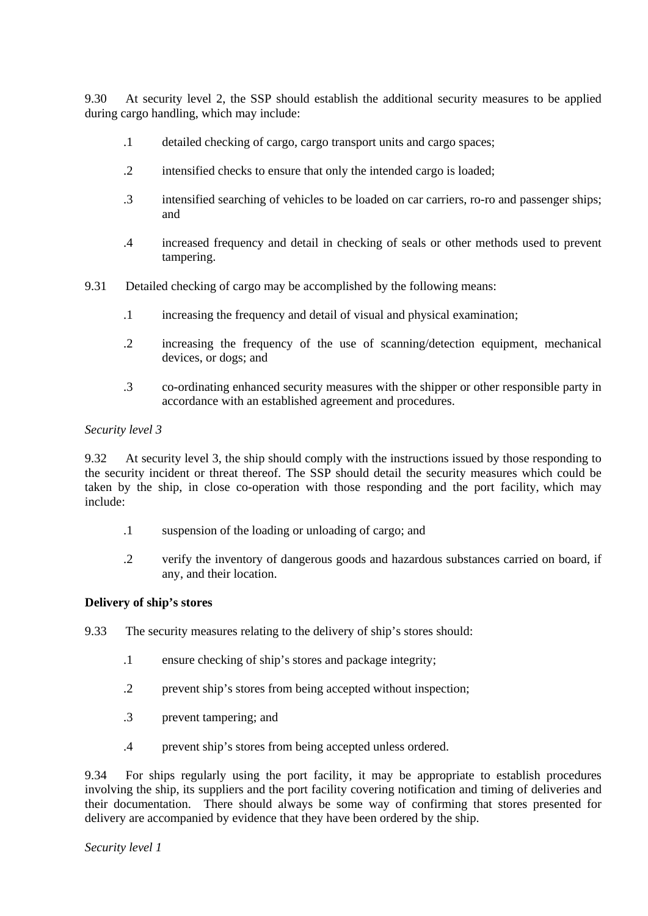9.30 At security level 2, the SSP should establish the additional security measures to be applied during cargo handling, which may include:

- .1 detailed checking of cargo, cargo transport units and cargo spaces;
- .2 intensified checks to ensure that only the intended cargo is loaded;
- .3 intensified searching of vehicles to be loaded on car carriers, ro-ro and passenger ships; and
- .4 increased frequency and detail in checking of seals or other methods used to prevent tampering.
- 9.31 Detailed checking of cargo may be accomplished by the following means:
	- .1 increasing the frequency and detail of visual and physical examination;
	- .2 increasing the frequency of the use of scanning/detection equipment, mechanical devices, or dogs; and
	- .3 co-ordinating enhanced security measures with the shipper or other responsible party in accordance with an established agreement and procedures.

#### *Security level 3*

9.32 At security level 3, the ship should comply with the instructions issued by those responding to the security incident or threat thereof. The SSP should detail the security measures which could be taken by the ship, in close co-operation with those responding and the port facility, which may include:

- .1 suspension of the loading or unloading of cargo; and
- .2 verify the inventory of dangerous goods and hazardous substances carried on board, if any, and their location.

### **Delivery of ship's stores**

9.33 The security measures relating to the delivery of ship's stores should:

- .1 ensure checking of ship's stores and package integrity;
- .2 prevent ship's stores from being accepted without inspection;
- .3 prevent tampering; and
- .4 prevent ship's stores from being accepted unless ordered.

9.34 For ships regularly using the port facility, it may be appropriate to establish procedures involving the ship, its suppliers and the port facility covering notification and timing of deliveries and their documentation. There should always be some way of confirming that stores presented for delivery are accompanied by evidence that they have been ordered by the ship.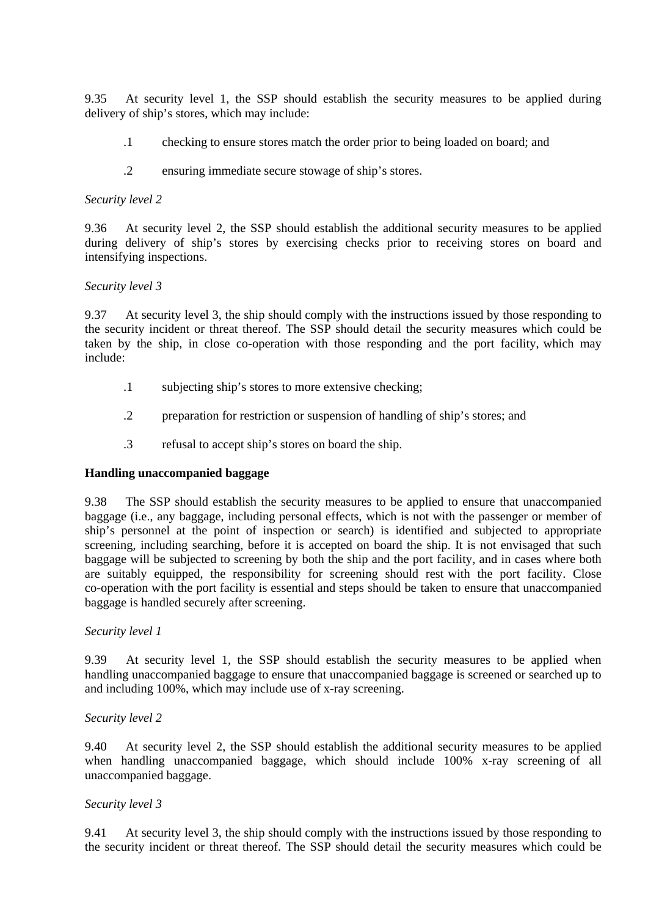9.35 At security level 1, the SSP should establish the security measures to be applied during delivery of ship's stores, which may include:

- .1 checking to ensure stores match the order prior to being loaded on board; and
- .2 ensuring immediate secure stowage of ship's stores.

### *Security level 2*

9.36 At security level 2, the SSP should establish the additional security measures to be applied during delivery of ship's stores by exercising checks prior to receiving stores on board and intensifying inspections.

#### *Security level 3*

9.37 At security level 3, the ship should comply with the instructions issued by those responding to the security incident or threat thereof. The SSP should detail the security measures which could be taken by the ship, in close co-operation with those responding and the port facility, which may include:

- .1 subjecting ship's stores to more extensive checking;
- .2 preparation for restriction or suspension of handling of ship's stores; and
- .3 refusal to accept ship's stores on board the ship.

### **Handling unaccompanied baggage**

9.38 The SSP should establish the security measures to be applied to ensure that unaccompanied baggage (i.e., any baggage, including personal effects, which is not with the passenger or member of ship's personnel at the point of inspection or search) is identified and subjected to appropriate screening, including searching, before it is accepted on board the ship. It is not envisaged that such baggage will be subjected to screening by both the ship and the port facility, and in cases where both are suitably equipped, the responsibility for screening should rest-with the port facility. Close co-operation with the port facility is essential and steps should be-taken to ensure that unaccompanied baggage is handled securely after screening.

### *Security level 1*

9.39 At security level 1, the SSP should establish the security measures to be applied when handling unaccompanied baggage to ensure that unaccompanied baggage is screened or searched up to and including 100%, which may include use of x-ray screening.

### *Security level 2*

9.40 At security level 2, the SSP should establish the additional security measures to be applied when handling unaccompanied baggage, which should include 100% x-ray screening of all unaccompanied baggage.

### *Security level 3*

9.41 At security level 3, the ship should comply with the instructions issued by those responding to the security incident or threat thereof. The SSP should detail the security measures which could be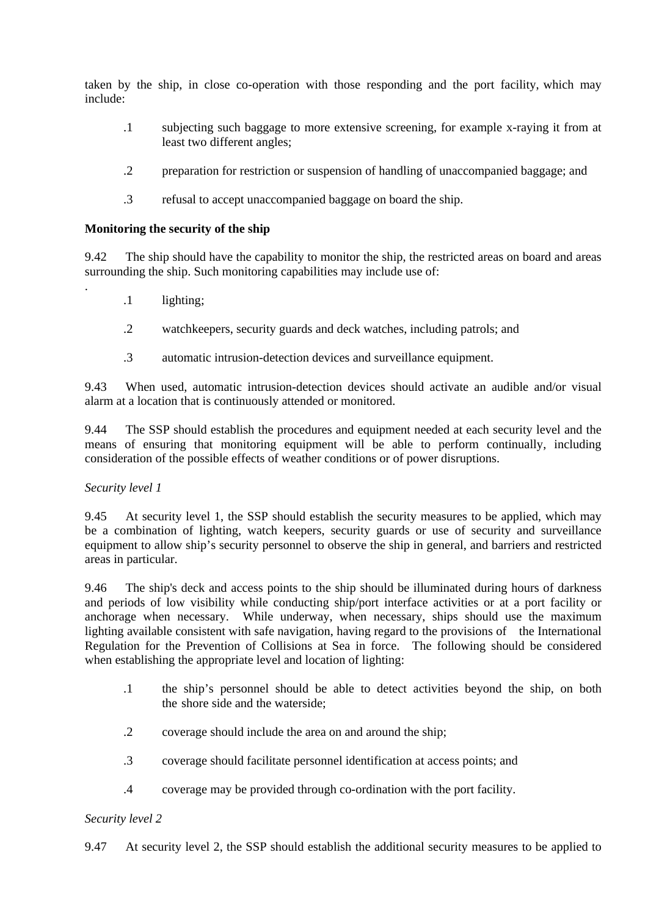taken by the ship, in close co-operation with those responding and the port facility, which may include:

- .1 subjecting such baggage to more extensive screening, for example x-raying it from-at least two different angles;
- .2 preparation for restriction or suspension of handling of unaccompanied baggage; and
- .3 refusal to accept unaccompanied baggage on board the ship.

#### **Monitoring the security of the ship**

9.42 The ship should have the capability to monitor the ship, the restricted areas on board and areas surrounding the ship. Such monitoring capabilities may include use of:

- .1 lighting;
- .2 watchkeepers, security guards and deck watches, including patrols; and
- .3 automatic intrusion-detection devices and surveillance equipment.

9.43 When used, automatic intrusion-detection devices should activate an audible and/or visual alarm at a location that is continuously attended or monitored.

9.44 The SSP should establish the procedures and equipment needed at each security level and the means of ensuring that monitoring equipment will be able to perform continually, including consideration of the possible effects of weather conditions or of power disruptions.

### *Security level 1*

.

9.45 At security level 1, the SSP should establish the security measures to be applied, which may be a combination of lighting, watch keepers, security guards or use of security and surveillance equipment to allow ship's security personnel to observe the ship in general, and barriers and restricted areas in particular.

9.46 The ship's deck and access points to the ship should be illuminated during hours of darkness and periods of low visibility while conducting ship/port interface activities or at a port facility or anchorage when necessary. While underway, when necessary, ships should use the maximum lighting available consistent with safe navigation, having regard to the provisions of the International Regulation for the Prevention of Collisions at Sea in force. The following should be considered when establishing the appropriate level and location of lighting:

- .1 the ship's personnel should be able to detect activities beyond the ship, on both the shore side and the waterside:
- .2 coverage should include the area on and around the ship;
- .3 coverage should facilitate personnel identification at access points; and
- .4 coverage may be provided through co-ordination with the port facility.

### *Security level 2*

9.47 At security level 2, the SSP should establish the additional security measures to be applied to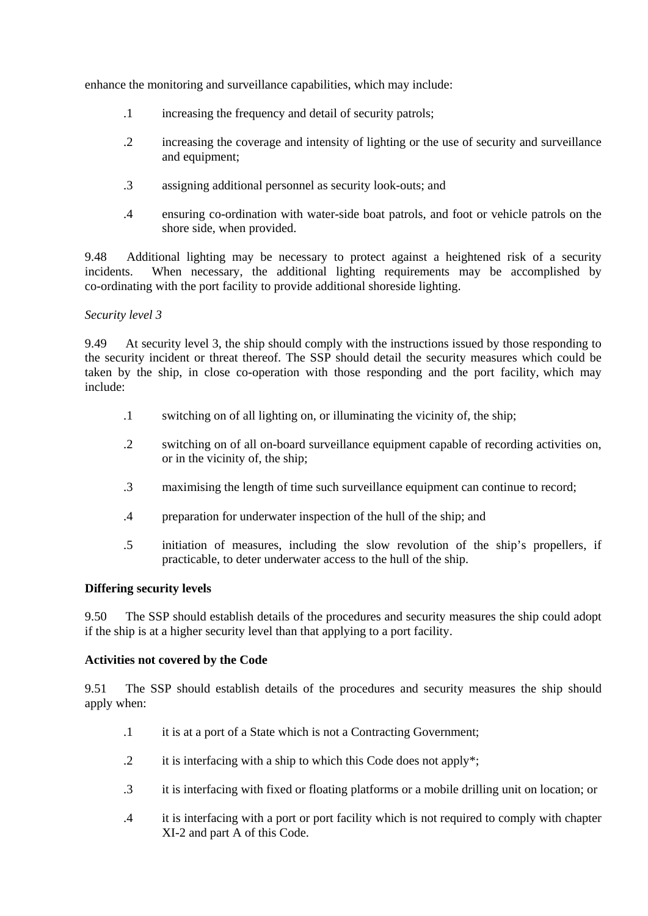enhance the monitoring and surveillance capabilities, which may include:

- .1 increasing the frequency and detail of security patrols;
- .2 increasing the coverage and intensity of lighting or the use of security and surveillance and equipment;
- .3 assigning additional personnel as security look-outs; and
- .4 ensuring co-ordination with water-side boat patrols, and foot or vehicle patrols on the shore side, when provided.

9.48 Additional lighting may be necessary to protect against a heightened risk of a security incidents. When necessary, the additional lighting requirements may be accomplished by co-ordinating with the port facility to provide additional shoreside lighting.

### *Security level 3*

9.49 At security level 3, the ship should comply with the instructions issued by those responding to the security incident or threat thereof. The SSP should detail the security measures which could be taken by the ship, in close co-operation with those responding and the port facility, which may include:

- .1 switching on of all lighting on, or illuminating the vicinity of, the ship;
- .2 switching on of all on-board surveillance equipment capable of recording activities-on, or in the vicinity of, the ship;
- .3 maximising the length of time such surveillance equipment can continue to record;-
- .4 preparation for underwater inspection of the hull of the ship; and
- .5 initiation of measures, including the slow revolution of the ship's propellers, if practicable, to deter underwater access to the hull of the ship.

### **Differing security levels**

9.50 The SSP should establish details of the procedures and security measures the ship could adopt if the ship is at a higher security level than that applying to a port facility.

### **Activities not covered by the Code**

9.51 The SSP should establish details of the procedures and security measures the ship should apply when:

- .1 it is at a port of a State which is not a Contracting Government;
- .2 it is interfacing with a ship to which this Code does not apply\*;
- .3 it is interfacing with fixed or floating platforms or a mobile drilling unit on location; or
- .4 it is interfacing with a port or port facility which is not required to comply with chapter XI-2 and part A of this Code.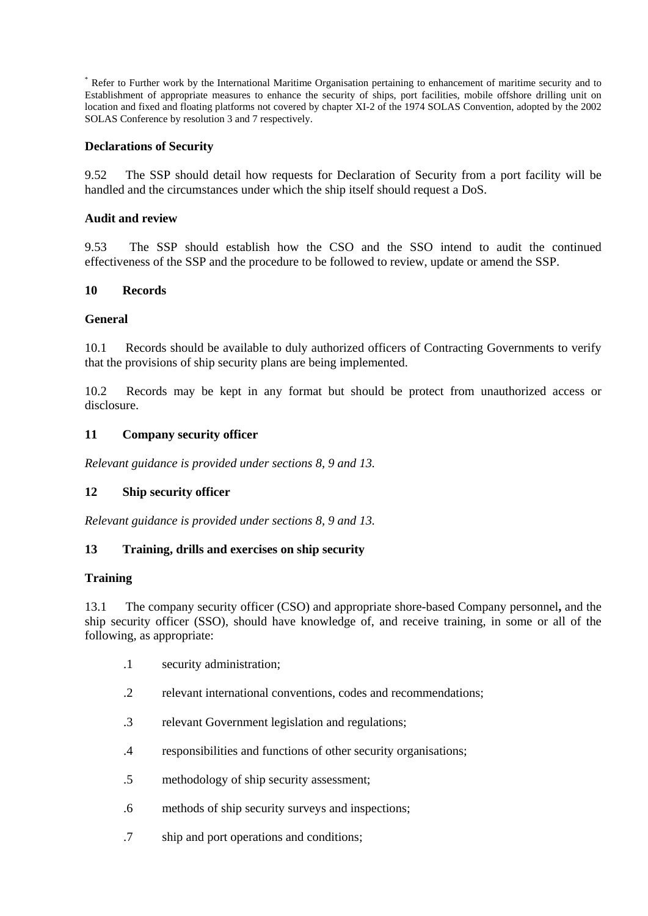Refer to Further work by the International Maritime Organisation pertaining to enhancement of maritime security and to Establishment of appropriate measures to enhance the security of ships, port facilities, mobile offshore drilling unit on location and fixed and floating platforms not covered by chapter XI-2 of the 1974 SOLAS Convention, adopted by the 2002 SOLAS Conference by resolution 3 and 7 respectively.

### **Declarations of Security**

9.52 The SSP should detail how requests for Declaration of Security from a port facility will be handled and the circumstances under which the ship itself should request a DoS.

### **Audit and review**

9.53 The SSP should establish how the CSO and the SSO intend to audit the continued effectiveness of the SSP and the procedure to be followed to review, update or amend the SSP.

### **10 Records**

#### **General**

10.1 Records should be available to duly authorized officers of Contracting Governments to verify that the provisions of ship security plans are being implemented.

10.2 Records may be kept in any format but should be protect from unauthorized access or disclosure.

#### **11 Company security officer**

*Relevant guidance is provided under sections 8, 9 and 13.*

### **12 Ship security officer**

*Relevant guidance is provided under sections 8, 9 and 13.*

### **13 Training, drills and exercises on ship security**

#### **Training**

13.1 The company security officer (CSO) and appropriate shore-based Company personnel**,** and the ship security officer (SSO), should have knowledge of, and receive training, in some or all of the following, as appropriate:

- .1 security administration;
- .2 relevant international conventions, codes and recommendations;
- .3 relevant Government legislation and regulations;
- .4 responsibilities and functions of other security organisations;
- .5 methodology of ship security assessment;
- .6 methods of ship security surveys and inspections;
- .7 ship and port operations and conditions;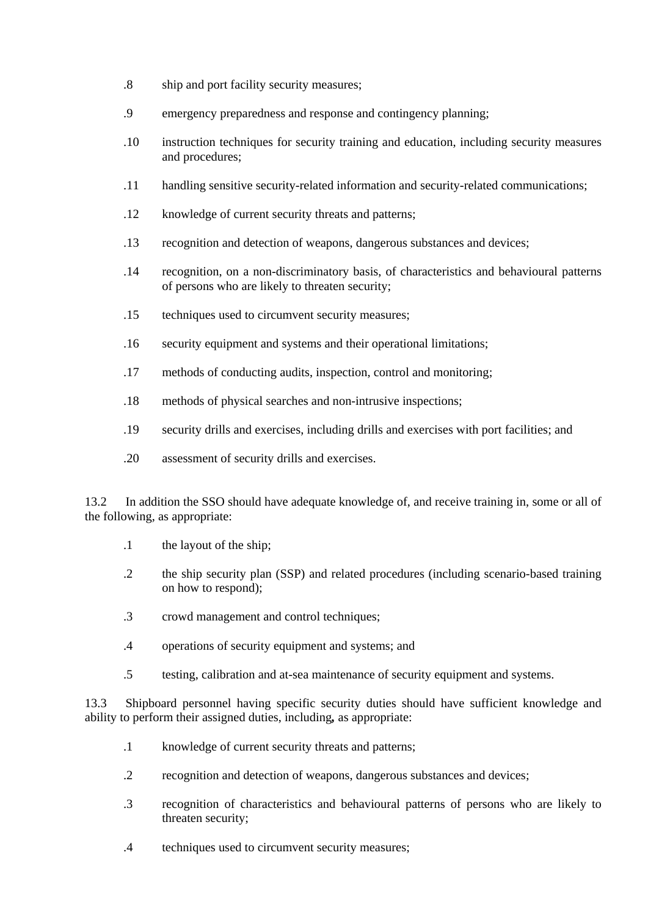- .8 ship and port facility security measures;
- .9 emergency preparedness and response and contingency planning;
- .10 instruction techniques for security training and education, including security measures and procedures;
- .11 handling sensitive security-related information and security-related communications;
- .12 knowledge of current security threats and patterns;
- .13 recognition and detection of weapons, dangerous substances and devices;
- .14 recognition, on a non-discriminatory basis, of characteristics and behavioural patterns of persons who are likely to threaten security;
- .15 techniques used to circumvent security measures;
- .16 security equipment and systems and their operational limitations;
- .17 methods of conducting audits, inspection, control and monitoring;
- .18 methods of physical searches and non-intrusive inspections;
- .19 security drills and exercises, including drills and exercises with port facilities; and
- .20 assessment of security drills and exercises.

13.2 In addition the SSO should have adequate knowledge of, and receive training in, some or all of the following, as appropriate:

- .1 the layout of the ship;
- .2 the ship security plan (SSP) and related procedures (including scenario-based training on how to respond);
- .3 crowd management and control techniques;
- .4 operations of security equipment and systems; and
- .5 testing, calibration and at-sea maintenance of security equipment and systems.

13.3 Shipboard personnel having specific security duties should have sufficient knowledge and ability to perform their assigned duties, including*,* as appropriate:

- .1 knowledge of current security threats and patterns;
- .2 recognition and detection of weapons, dangerous substances and devices;
- .3 recognition of characteristics and behavioural patterns of persons who are likely to threaten security;
- .4 techniques used to circumvent security measures;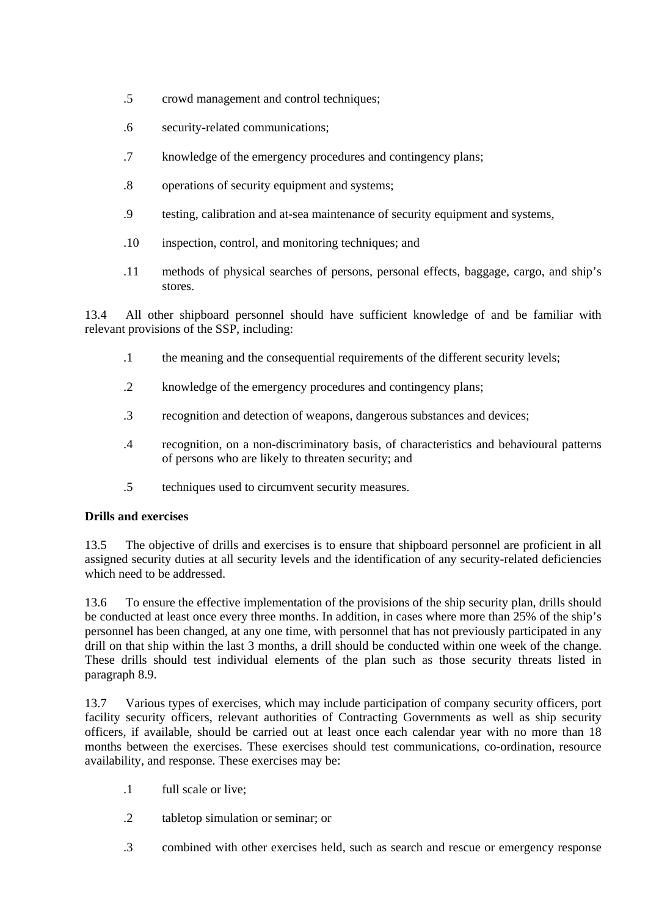- .5 crowd management and control techniques;
- .6 security-related communications;
- .7 knowledge of the emergency procedures and contingency plans;
- .8 operations of security equipment and systems;
- .9 testing, calibration and at-sea maintenance of security equipment and systems,
- .10 inspection, control, and monitoring techniques; and
- .11 methods of physical searches of persons, personal effects, baggage, cargo, and ship's stores.

13.4 All other shipboard personnel should have sufficient knowledge of and be familiar with relevant provisions of the SSP, including:

- .1 the meaning and the consequential requirements of the different security levels;
- .2 knowledge of the emergency procedures and contingency plans;
- .3 recognition and detection of weapons, dangerous substances and devices;
- .4 recognition, on a non-discriminatory basis, of characteristics and behavioural patterns of persons who are likely to threaten security; and
- .5 techniques used to circumvent security measures.

### **Drills and exercises**

13.5 The objective of drills and exercises is to ensure that shipboard personnel are proficient in all assigned security duties at all security levels and the identification of any security-related deficiencies which need to be addressed.

13.6 To ensure the effective implementation of the provisions of the ship security plan, drills should be conducted at least once every three months. In addition, in cases where more than 25% of the ship's personnel has been changed, at any one time, with personnel that has not previously participated in any drill on that ship within the last 3 months, a drill should be conducted within one week of the change. These drills should test individual elements of the plan such as those security threats listed in paragraph 8.9.

13.7 Various types of exercises, which may include participation of company security officers, port facility security officers, relevant authorities of Contracting Governments as well as ship security officers, if available, should be carried out at least once each calendar year with no more than 18 months between the exercises. These exercises should test communications, co-ordination, resource availability, and response. These exercises may be:

- .1 full scale or live;
- .2 tabletop simulation or seminar; or
- .3 combined with other exercises held, such as search and rescue or emergency response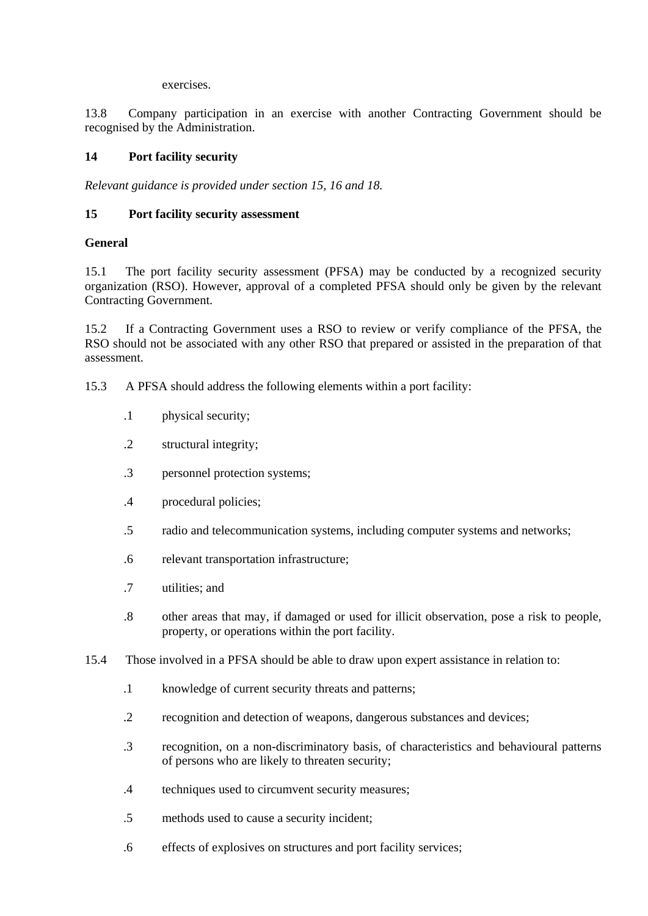exercises.

13.8 Company participation in an exercise with another Contracting Government should be recognised by the Administration.

# **14 Port facility security**

*Relevant guidance is provided under section 15, 16 and 18.*

#### **15 Port facility security assessment**

#### **General**

15.1 The port facility security assessment (PFSA) may be conducted by a recognized security organization (RSO). However, approval of a completed PFSA should only be given by the relevant Contracting Government.

15.2 If a Contracting Government uses a RSO to review or verify compliance of the PFSA, the RSO should not be associated with any other RSO that prepared or assisted in the preparation of that assessment.

- 15.3 A PFSA should address the following elements within a port facility:
	- .1 physical security;
	- .2 structural integrity;
	- .3 personnel protection systems;
	- .4 procedural policies;
	- .5 radio and telecommunication systems, including computer systems and networks;
	- .6 relevant transportation infrastructure;
	- .7 utilities; and
	- .8 other areas that may, if damaged or used for illicit observation, pose a risk to people, property, or operations within the port facility.
- 15.4 Those involved in a PFSA should be able to draw upon expert assistance in relation to:
	- .1 knowledge of current security threats and patterns;
	- .2 recognition and detection of weapons, dangerous substances and devices;
	- .3 recognition, on a non-discriminatory basis, of characteristics and behavioural patterns of persons who are likely to threaten security;
	- .4 techniques used to circumvent security measures;
	- .5 methods used to cause a security incident;
	- .6 effects of explosives on structures and port facility services;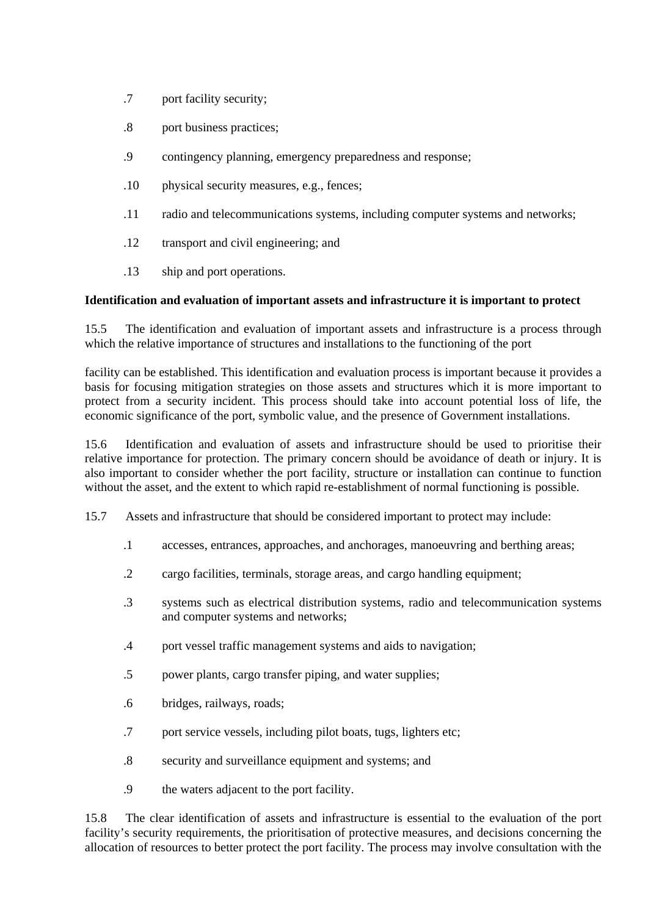- .7 port facility security;
- .8 port business practices;
- .9 contingency planning, emergency preparedness and response;
- .10 physical security measures, e.g., fences;
- .11 radio and telecommunications systems, including computer systems and networks;
- .12 transport and civil engineering; and
- .13 ship and port operations.

# **Identification and evaluation of important assets and infrastructure it is important to protect**

15.5 The identification and evaluation of important assets and infrastructure is a process through which the relative importance of structures and installations to the functioning of the port

facility can be established. This identification and evaluation process is important because it provides a basis for focusing mitigation strategies on those assets and structures which it is more important to protect from a security incident. This process should take into account potential loss of life, the economic significance of the port, symbolic value, and the presence of Government installations.

15.6 Identification and evaluation of assets and infrastructure should be used to prioritise their relative importance for protection. The primary concern should be avoidance of death or injury. It is also important to consider whether the port facility, structure or installation can continue to function without the asset, and the extent to which rapid re-establishment of normal functioning is possible.

- 15.7 Assets and infrastructure that should be considered important to protect may include:
	- .1 accesses, entrances, approaches, and anchorages, manoeuvring and berthing areas;
	- .2 cargo facilities, terminals, storage areas, and cargo handling equipment;
	- .3 systems such as electrical distribution systems, radio and telecommunication systems and computer systems and networks;
	- .4 port vessel traffic management systems and aids to navigation;
	- .5 power plants, cargo transfer piping, and water supplies;
	- .6 bridges, railways, roads;
	- .7 port service vessels, including pilot boats, tugs, lighters etc;
	- .8 security and surveillance equipment and systems; and
	- .9 the waters adjacent to the port facility.

15.8 The clear identification of assets and infrastructure is essential to the evaluation of the port facility's security requirements, the prioritisation of protective measures, and decisions concerning the allocation of resources to better protect the port facility. The process may involve consultation with the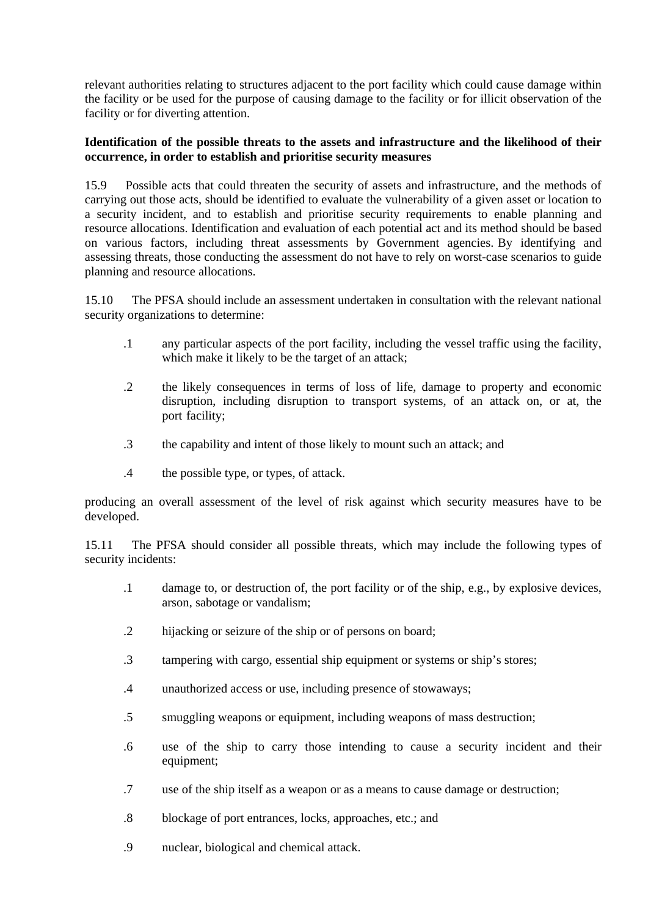relevant authorities relating to structures adjacent to the port facility which could cause damage within the facility or be used for the purpose of causing damage to the facility-or for illicit observation of the facility or for diverting attention.

### **Identification of the possible threats to the assets and infrastructure and the likelihood of their occurrence, in order to establish and prioritise security measures**

15.9 Possible acts that could threaten the security of assets and infrastructure, and the methods of carrying out those acts, should be identified to evaluate the vulnerability of a given asset or location to a security incident, and to establish and prioritise security requirements to enable planning and resource allocations. Identification and evaluation of each potential act and its method should be based on various factors, including threat assessments by Government agencies. By identifying and assessing threats, those conducting the assessment do not have to rely on worst-case scenarios to guide planning and resource allocations.

15.10 The PFSA should include an assessment undertaken in consultation with the relevant national security organizations to determine:

- .1 any particular aspects of the port facility, including the vessel traffic using the facility, which make it likely to be the target of an attack;
- .2 the likely consequences in terms of loss of life, damage to property and economic disruption, including disruption to transport systems, of an attack on, or at, the port-facility:
- .3 the capability and intent of those likely to mount such an attack; and
- .4 the possible type, or types, of attack.

producing an overall assessment of the level of risk against which security measures have to be developed.

15.11 The PFSA should consider all possible threats, which may include the following types of security incidents:

- .1 damage to, or destruction of, the port facility or of the ship, e.g., by explosive devices, arson, sabotage or vandalism;
- .2 hijacking or seizure of the ship or of persons on board;
- .3 tampering with cargo, essential ship equipment or systems or ship's stores;
- .4 unauthorized access or use, including presence of stowaways;
- .5 smuggling weapons or equipment, including weapons of mass destruction;
- .6 use of the ship to carry those intending to cause a security incident and their equipment;
- .7 use of the ship itself as a weapon or as a means to cause damage or destruction;
- .8 blockage of port entrances, locks, approaches, etc.; and
- .9 nuclear, biological and chemical attack.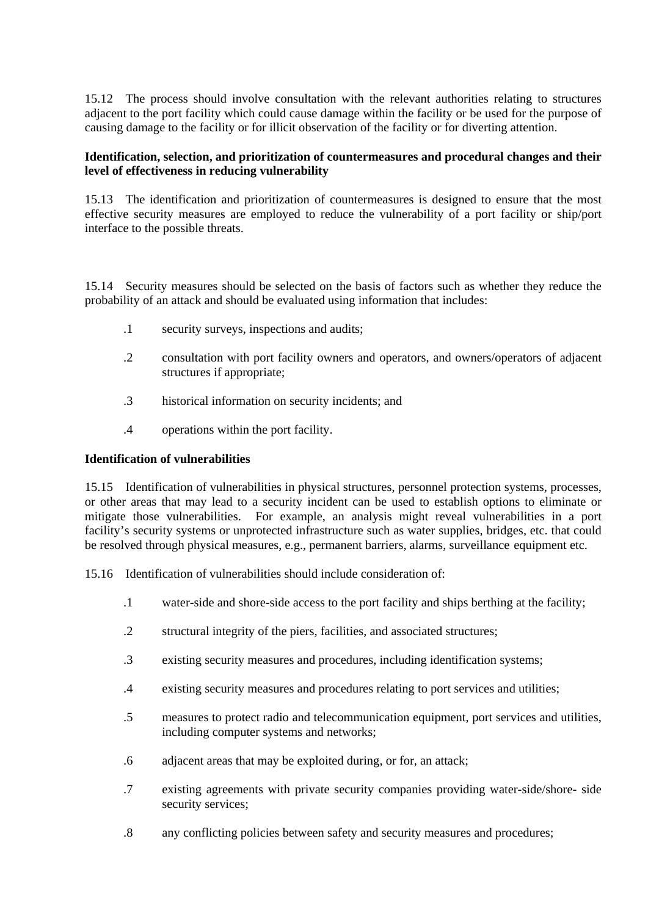15.12 The process should involve consultation with the relevant authorities relating to structures adjacent to the port facility which could cause damage within the facility or be used for the purpose of causing damage to the facility or for illicit observation of the facility or for diverting attention.

### **Identification, selection, and prioritization of countermeasures and procedural changes and their level of effectiveness in reducing vulnerability**

15.13 The identification and prioritization of countermeasures is designed to ensure that the most effective security measures are employed to reduce the vulnerability of a port facility or ship/port interface to the possible threats.

15.14 Security measures should be selected on the basis of factors such as whether they reduce the probability of an attack and should be evaluated using information that includes:

- .1 security surveys, inspections and audits;
- .2 consultation with port facility owners and operators, and owners/operators of adjacent structures if appropriate;
- .3 historical information on security incidents; and
- .4 operations within the port facility.

### **Identification of vulnerabilities**

15.15 Identification of vulnerabilities in physical structures, personnel protection systems, processes, or other areas that may lead to a security incident can be used to establish options to eliminate or mitigate those vulnerabilities. For example, an analysis might reveal vulnerabilities in a port facility's security systems or unprotected infrastructure such as water supplies, bridges, etc. that could be resolved through physical measures, e.g., permanent barriers, alarms, surveillance-equipment etc.

15.16 Identification of vulnerabilities should include consideration of:

- .1 water-side and shore-side access to the port facility and ships berthing at the facility;
- .2 structural integrity of the piers, facilities, and associated structures;
- .3 existing security measures and procedures, including identification systems;
- .4 existing security measures and procedures relating to port services and utilities;
- .5 measures to protect radio and telecommunication equipment, port services and utilities, including computer systems and networks;
- .6 adjacent areas that may be exploited during, or for, an attack;
- .7 existing agreements with private security companies providing water-side/shore- side security services;
- .8 any conflicting policies between safety and security measures and procedures;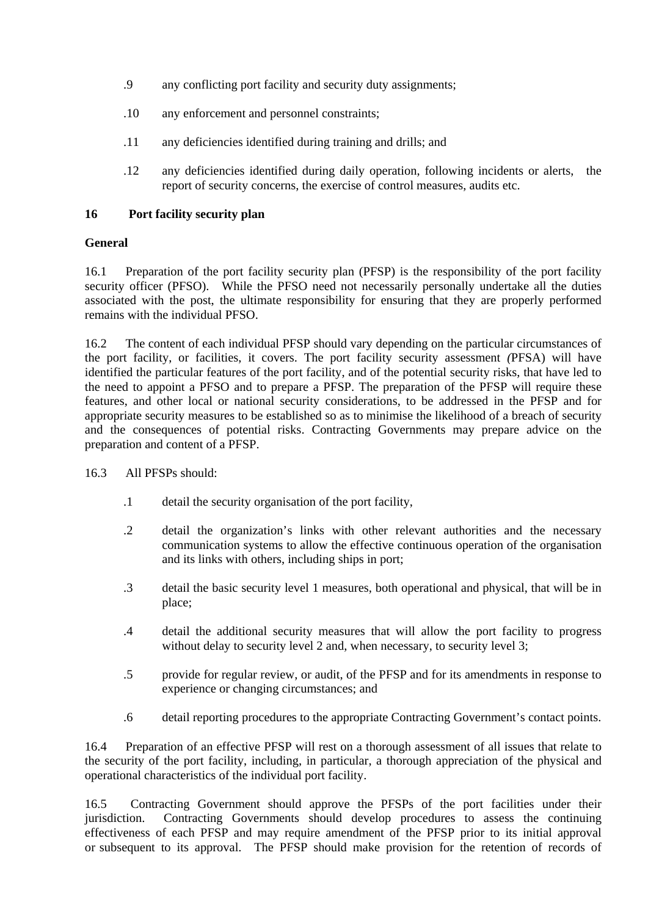- .9 any conflicting port facility and security duty assignments;
- .10 any enforcement and personnel constraints;
- .11 any deficiencies identified during training and drills; and
- .12 any deficiencies identified during daily operation, following incidents or alerts, the report of security concerns, the exercise of control measures, audits etc.

### **16 Port facility security plan**

# **General**

16.1 Preparation of the port facility security plan (PFSP) is the responsibility of the port facility security officer (PFSO). While the PFSO need not necessarily personally undertake all the duties associated with the post, the ultimate responsibility for ensuring that they are properly performed remains with the individual PFSO.

16.2 The content of each individual PFSP should vary depending on the particular circumstances of the port facility, or facilities, it covers. The port facility security assessment *(*PFSA) will have identified the particular features of the port facility, and of the potential security risks, that have led to the need to appoint a PFSO and to prepare a PFSP. The preparation of the PFSP will require these features, and other local or national security considerations, to be addressed in the PFSP and for appropriate security measures to be established so as to minimise the likelihood of a breach of security and the consequences of potential risks. Contracting Governments may prepare advice on the preparation and content of a PFSP.

- 16.3 All PFSPs should:
	- .1 detail the security organisation of the port facility,
	- .2 detail the organization's links with other relevant authorities and the necessary communication systems to allow the effective continuous operation of the organisation and its links with others, including ships in port;
	- .3 detail the basic security level 1 measures, both operational and physical, that will be in place;
	- .4 detail the additional security measures that will allow the port facility to progress without delay to security level 2 and, when necessary, to security level 3;
	- .5 provide for regular review, or audit, of the PFSP and for its amendments in response to experience or changing circumstances; and
	- .6 detail reporting procedures to the appropriate Contracting Government's contact points.

16.4 Preparation of an effective PFSP will rest on a thorough assessment of all issues that relate to the security of the port facility, including, in particular, a thorough appreciation of the physical and operational characteristics of the individual port facility.

16.5 Contracting Government should approve the PFSPs of the port facilities under their jurisdiction. Contracting Governments should develop procedures to assess the continuing effectiveness of each PFSP and may require amendment of the PFSP prior to its initial approval or-subsequent to its approval. The PFSP should make provision for the retention of records of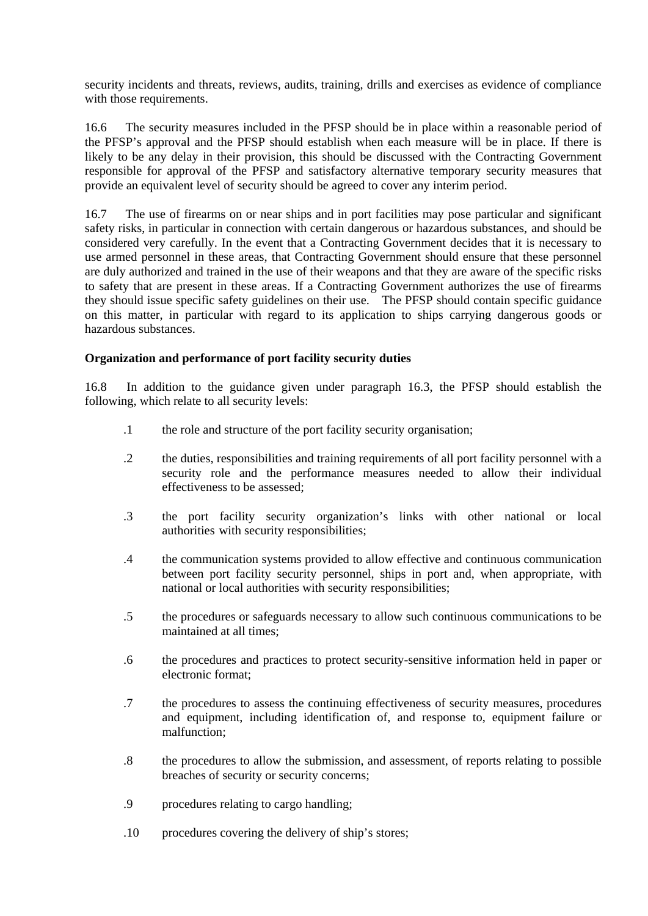security incidents and threats, reviews, audits, training, drills and exercises as evidence of compliance with those requirements.

16.6 The security measures included in the PFSP should be in place within a reasonable period of the PFSP's approval and the PFSP should establish when each measure will be in place. If there is likely to be any delay in their provision, this should be discussed with the Contracting Government responsible for approval of the PFSP and satisfactory alternative temporary security measures that provide an equivalent level of security should be agreed to cover any interim period.

16.7 The use of firearms on or near ships and in port facilities may pose particular and significant safety risks, in particular in connection with certain dangerous or hazardous substances, and should be considered very carefully. In the event that a Contracting Government decides that it is necessary to use armed personnel in these areas, that Contracting Government should ensure that these personnel are duly authorized and trained in the use of their weapons and that they are aware of the specific risks to safety that are present in these areas. If a Contracting Government authorizes the use of firearms they should issue specific safety guidelines on their use. The PFSP should contain specific guidance on this matter, in particular with regard to its application to ships carrying dangerous goods or hazardous substances.

### **Organization and performance of port facility security duties**

16.8 In addition to the guidance given under paragraph 16.3, the PFSP should establish the following, which relate to all security levels:

- .1 the role and structure of the port facility security organisation;
- .2 the duties, responsibilities and training requirements of all port facility personnel with a security role and the performance measures needed to allow their individual effectiveness to be assessed;
- .3 the port facility security organization's links with other national or local authorities with security responsibilities;
- .4 the communication systems provided to allow effective and continuous communication between port facility security personnel, ships in port and, when appropriate, with national or local authorities with security responsibilities;
- .5 the procedures or safeguards necessary to allow such continuous communications to be maintained at all times;
- .6 the procedures and practices to protect security-sensitive information held in paper or electronic format;
- .7 the procedures to assess the continuing effectiveness of security measures, procedures and equipment, including identification of, and response to, equipment failure or malfunction;
- .8 the procedures to allow the submission, and assessment, of reports relating to possible breaches of security or security concerns;
- .9 procedures relating to cargo handling;
- .10 procedures covering the delivery of ship's stores;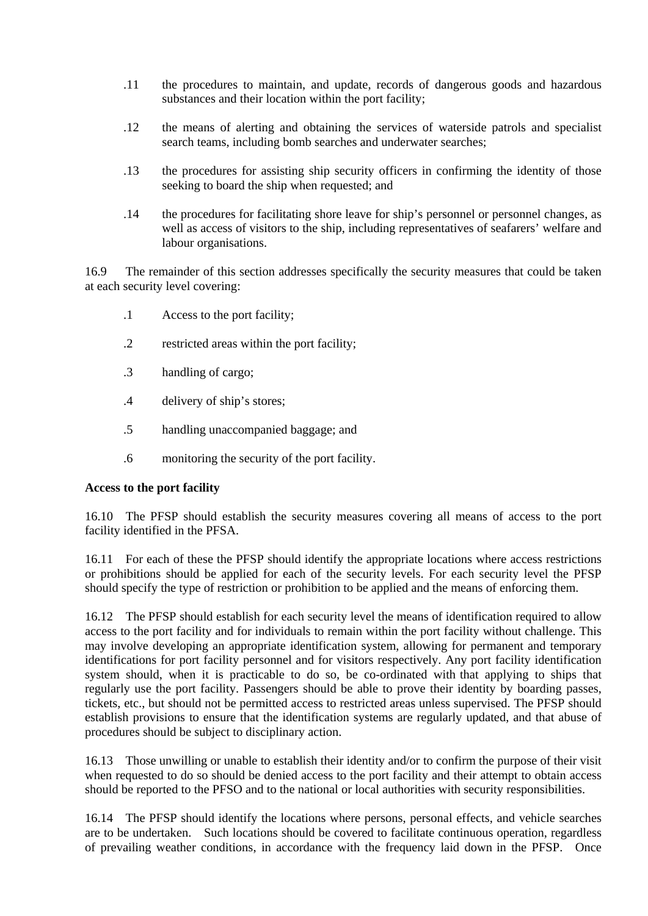- .11 the procedures to maintain, and update, records of dangerous goods and hazardous substances and their location within the port facility;
- .12 the means of alerting and obtaining the services of waterside patrols and specialist search teams, including bomb searches and underwater searches;
- .13 the procedures for assisting ship security officers in confirming the identity of those seeking to board the ship when requested; and
- .14 the procedures for facilitating shore leave for ship's personnel or personnel changes, as well as access of visitors to the ship, including representatives of seafarers' welfare and labour organisations.

16.9 The remainder of this section addresses specifically the security measures that could be taken at each security level covering:

- .1 Access to the port facility;
- .2 restricted areas within the port facility;
- .3 handling of cargo;
- .4 delivery of ship's stores;
- .5 handling unaccompanied baggage; and
- .6 monitoring the security of the port facility.

### **Access to the port facility**

16.10 The PFSP should establish the security measures covering all means of access to the port facility identified in the PFSA.

16.11 For each of these the PFSP should identify the appropriate locations where access restrictions or prohibitions should be applied for each of the security levels. For each security level the PFSP should specify the type of restriction or prohibition to be applied and the means of enforcing them.

16.12 The PFSP should establish for each security level the means of identification required to allow access to the port facility and for individuals to remain within the port facility without challenge. This may involve developing an appropriate identification system, allowing for permanent and temporary identifications for port facility personnel and for visitors respectively. Any port facility identification system should, when it is practicable to do so, be co-ordinated with that applying to ships that regularly use the port facility. Passengers should be able to prove their identity by boarding passes, tickets, etc., but should not be permitted access to restricted areas unless supervised. The PFSP should establish provisions to ensure that the identification systems are regularly updated, and that abuse of procedures should be subject to disciplinary action.

16.13 Those unwilling or unable to establish their identity and/or to confirm the purpose of their visit when requested to do so should be denied access to the port facility and their attempt to obtain access should be reported to the PFSO and to the national or local authorities with security responsibilities.

16.14 The PFSP should identify the locations where persons, personal effects, and vehicle searches are to be undertaken. Such locations should be covered to facilitate continuous operation, regardless of prevailing weather conditions, in accordance with the frequency laid down-in the PFSP. Once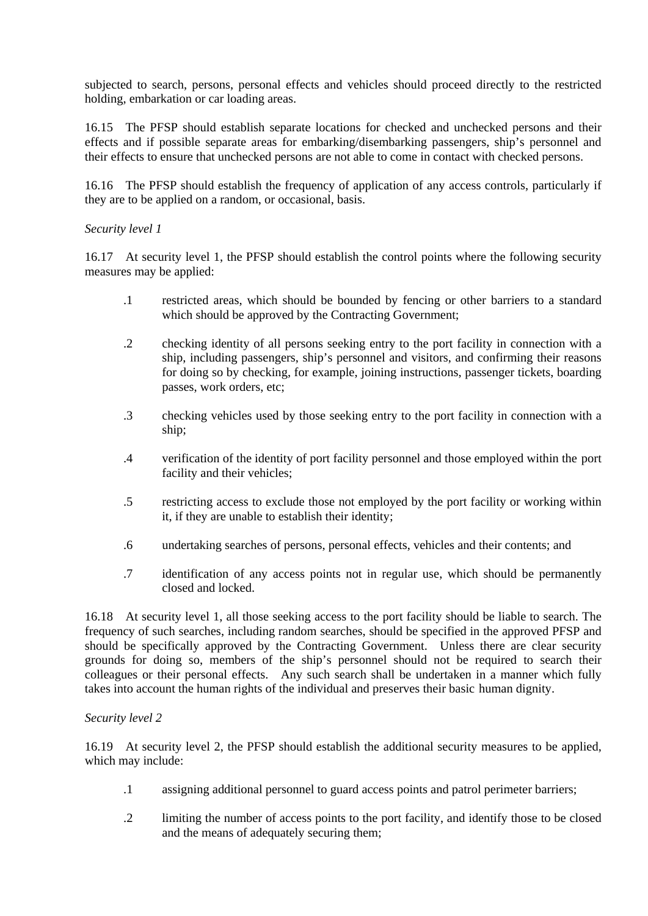subjected to search, persons, personal effects and vehicles should proceed directly to the restricted holding, embarkation or car loading areas.

16.15 The PFSP should establish separate locations for checked and unchecked persons and their effects and if possible separate areas for embarking/disembarking passengers, ship's personnel and their effects to ensure that unchecked persons are not able to come in contact with checked persons.

16.16 The PFSP should establish the frequency of application of any access controls, particularly if they are to be applied on a random, or occasional, basis.

### *Security level 1*

16.17 At security level 1, the PFSP should establish the control points where the following security measures may be applied:

- .1 restricted areas, which should be bounded by fencing or other barriers to a standard which should be approved by the Contracting Government;
- .2 checking identity of all persons seeking entry to the port facility in connection with a ship, including passengers, ship's personnel and visitors, and confirming their reasons for doing so by checking, for example, joining instructions, passenger tickets, boarding passes, work orders, etc;
- .3 checking vehicles used by those seeking entry to the port facility in connection with a ship;
- .4 verification of the identity of port facility personnel and those employed within the-port facility and their vehicles:
- .5 restricting access to exclude those not employed by the port facility or working within it, if they are unable to establish their identity;
- .6 undertaking searches of persons, personal effects, vehicles and their contents; and
- .7 identification of any access points not in regular use, which should be permanently closed and locked.

16.18 At security level 1, all those seeking access to the port facility should be liable to search. The frequency of such searches, including random searches, should be specified in the approved PFSP and should be specifically approved by the Contracting Government. Unless there are clear security grounds for doing so, members of the ship's personnel should not be required to search their colleagues or their personal effects. Any such search shall be undertaken in a manner which fully takes into account the human rights of the individual and preserves their basic-human dignity.

### *Security level 2*

16.19 At security level 2, the PFSP should establish the additional security measures to be applied, which may include:

- .1 assigning additional personnel to guard access points and patrol perimeter barriers;-
- .2 limiting the number of access points to the port facility, and identify those to be closed and the means of adequately securing them;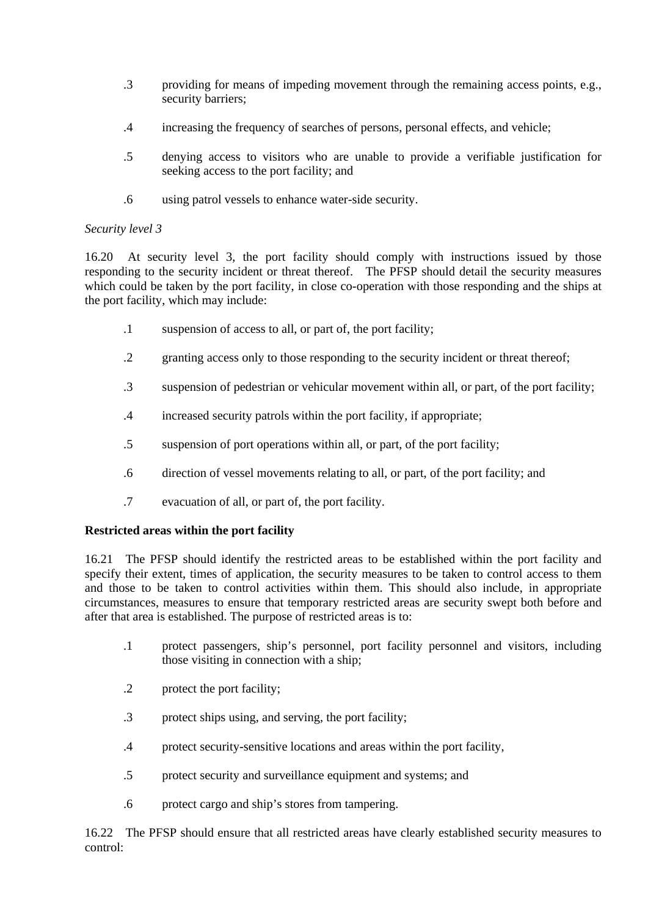- .3 providing for means of impeding movement through the remaining access points, e.g., security barriers;
- .4 increasing the frequency of searches of persons, personal effects, and vehicle;
- .5 denying access to visitors who are unable to provide a verifiable justification for seeking access to the port facility; and
- .6 using patrol vessels to enhance water-side security.

# *Security level 3*

16.20 At security level 3, the port facility should comply with instructions issued by those responding to the security incident or threat thereof. The PFSP should detail the security measures which could be taken by the port facility, in close co-operation with those responding and the ships at the port facility, which may include:

- .1 suspension of access to all, or part of, the port facility;
- .2 granting access only to those responding to the security incident or threat thereof;
- .3 suspension of pedestrian or vehicular movement within all, or part, of the port facility;
- .4 increased security patrols within the port facility, if appropriate;
- .5 suspension of port operations within all, or part, of the port facility;
- .6 direction of vessel movements relating to all, or part, of the port facility; and
- .7 evacuation of all, or part of, the port facility.

# **Restricted areas within the port facility**

16.21 The PFSP should identify the restricted areas to be established within the port facility and specify their extent, times of application, the security measures to be taken to control access to them and those to be taken to control activities within them. This should also include, in appropriate circumstances, measures to ensure that temporary restricted areas are security swept both before and after that area is established. The purpose of restricted areas is to:

- .1 protect passengers, ship's personnel, port facility personnel and visitors, including those visiting in connection with a ship;
- .2 protect the port facility;
- .3 protect ships using, and serving, the port facility;
- .4 protect security-sensitive locations and areas within the port facility,
- .5 protect security and surveillance equipment and systems; and
- .6 protect cargo and ship's stores from tampering.

16.22 The PFSP should ensure that all restricted areas have clearly established security measures to control: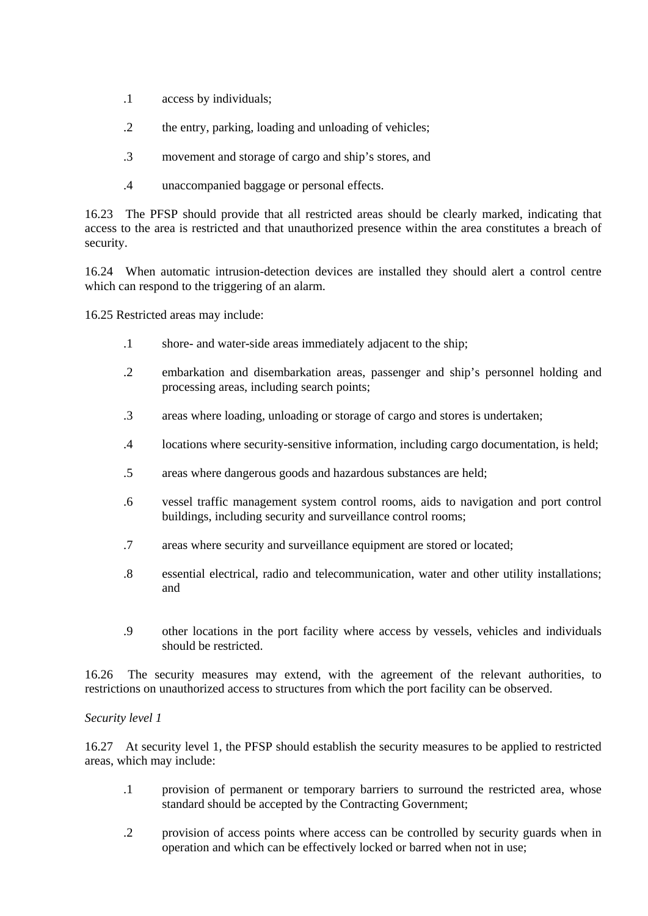- .1 access by individuals;
- .2 the entry, parking, loading and unloading of vehicles;
- .3 movement and storage of cargo and ship's stores, and
- .4 unaccompanied baggage or personal effects.

16.23 The PFSP should provide that all restricted areas should be clearly marked, indicating that access to the area is restricted and that unauthorized presence within the area constitutes a breach of security.

16.24 When automatic intrusion-detection devices are installed they should alert a control centre which can respond to the triggering of an alarm.

16.25 Restricted areas may include:

- .1 shore- and water-side areas immediately adjacent to the ship;
- .2 embarkation and disembarkation areas, passenger and ship's personnel holding and processing areas, including search points;
- .3 areas where loading, unloading or storage of cargo and stores is undertaken;
- .4 locations where security-sensitive information, including cargo documentation, is held;
- .5 areas where dangerous goods and hazardous substances are held;
- .6 vessel traffic management system control rooms, aids to navigation and port control buildings, including security and surveillance control rooms;
- .7 areas where security and surveillance equipment are stored or located;
- .8 essential electrical, radio and telecommunication, water and other utility installations; and
- .9 other locations in the port facility where access by vessels, vehicles and individuals should be restricted.

16.26 The security measures may extend, with the agreement of the relevant authorities, to restrictions on unauthorized access to structures from which the port facility can be observed.

### *Security level 1*

16.27 At security level 1, the PFSP should establish the security measures to be applied to restricted areas, which may include:

- .1 provision of permanent or temporary barriers to surround the restricted area, whose standard should be accepted by the Contracting Government;
- .2 provision of access points where access can be controlled by security guards when in operation and which can be effectively locked or barred when not in use;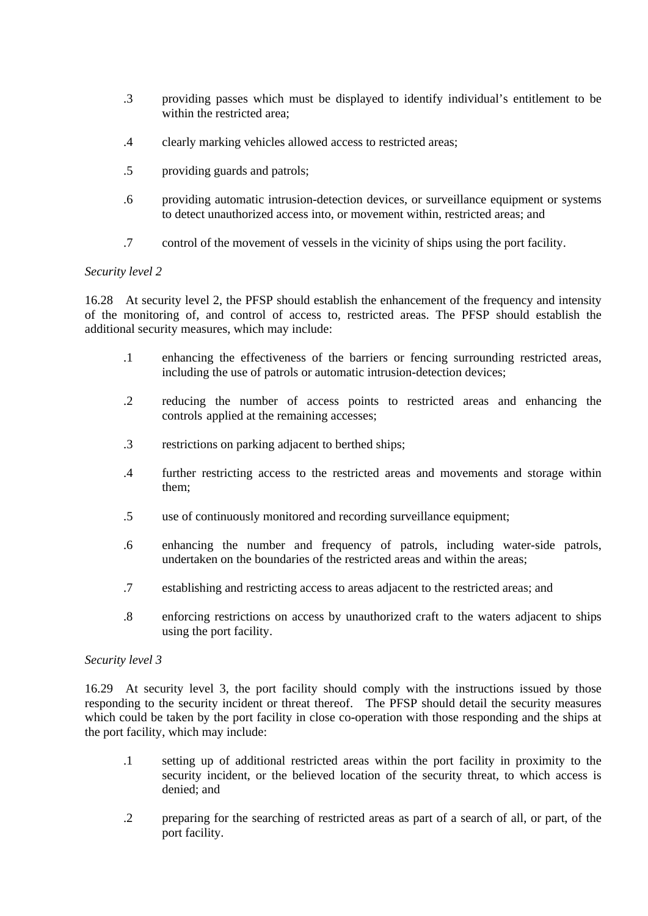- .3 providing passes which must be displayed to identify individual's entitlement to be within the restricted area;
- .4 clearly marking vehicles allowed access to restricted areas;
- .5 providing guards and patrols;
- .6 providing automatic intrusion-detection devices, or surveillance equipment or systems to detect unauthorized access into, or movement within, restricted areas; and
- .7 control of the movement of vessels in the vicinity of ships using the port facility.

### *Security level 2*

16.28 At security level 2, the PFSP should establish the enhancement of the frequency and intensity of the monitoring of, and control of access to, restricted areas. The PFSP should establish the additional security measures, which may include:

- .1 enhancing the effectiveness of the barriers or fencing surrounding restricted areas, including the use of patrols or automatic intrusion-detection devices;
- .2 reducing the number of access points to restricted areas and enhancing the controls applied at the remaining accesses;
- .3 restrictions on parking adjacent to berthed ships;
- .4 further restricting access to the restricted areas and movements and storage within them;
- .5 use of continuously monitored and recording surveillance equipment;
- .6 enhancing the number and frequency of patrols, including water-side patrols, undertaken on the boundaries of the restricted areas and within the areas;
- .7 establishing and restricting access to areas adjacent to the restricted areas; and
- .8 enforcing restrictions on access by unauthorized craft to the waters adjacent to ships using the port facility.

### *Security level 3*

16.29 At security level 3, the port facility should comply with the instructions issued by those responding to the security incident or threat thereof. The PFSP should detail the security measures which could be taken by the port facility in close co-operation with those responding and the ships at the port facility, which may include:

- .1 setting up of additional restricted areas within the port facility in proximity to the security incident, or the believed location of the security threat, to which access is denied; and
- .2 preparing for the searching of restricted areas as part of a search of all, or part, of the port facility.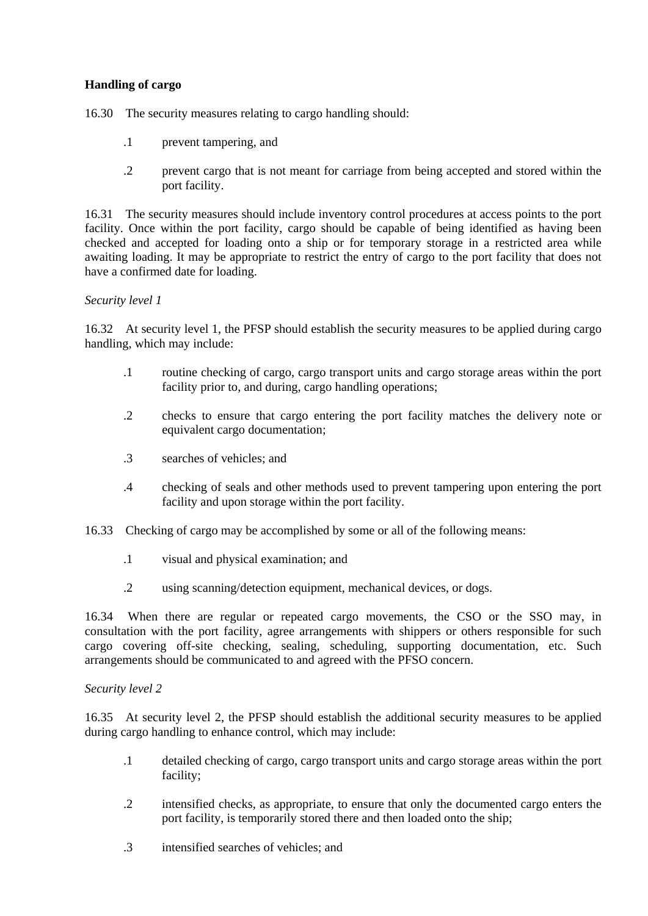# **Handling of cargo**

16.30 The security measures relating to cargo handling should:

- .1 prevent tampering, and
- .2 prevent cargo that is not meant for carriage from being accepted and stored within the port facility.

16.31 The security measures should include inventory control procedures at access points to the port facility. Once within the port facility, cargo should be capable of being identified as having been checked and accepted for loading onto a ship or for temporary storage in a restricted area while awaiting loading. It may be appropriate to restrict the entry of cargo to the port facility that does not have a confirmed date for loading.

### *Security level 1*

16.32 At security level 1, the PFSP should establish the security measures to be applied during cargo handling, which may include:

- .1 routine checking of cargo, cargo transport units and cargo storage areas within the port facility prior to, and during, cargo handling operations;
- .2 checks to ensure that cargo entering the port facility matches the delivery note or equivalent cargo documentation;
- .3 searches of vehicles; and
- .4 checking of seals and other methods used to prevent tampering upon entering the port facility and upon storage within the port facility.
- 16.33 Checking of cargo may be accomplished by some or all of the following means:
	- .1 visual and physical examination; and
	- .2 using scanning/detection equipment, mechanical devices, or dogs.

16.34 When there are regular or repeated cargo movements, the CSO or the SSO may, in consultation with the port facility, agree arrangements with shippers or others responsible for such cargo covering off-site checking, sealing, scheduling, supporting documentation, etc. Such arrangements should be communicated to and agreed with the PFSO concern.

### *Security level 2*

16.35 At security level 2, the PFSP should establish the additional security measures to be applied during cargo handling to enhance control, which may include:

- .1 detailed checking of cargo, cargo transport units and cargo storage areas within the-port facility;
- .2 intensified checks, as appropriate, to ensure that only the documented cargo enters the port facility, is temporarily stored there and then loaded onto the ship;
- .3 intensified searches of vehicles; and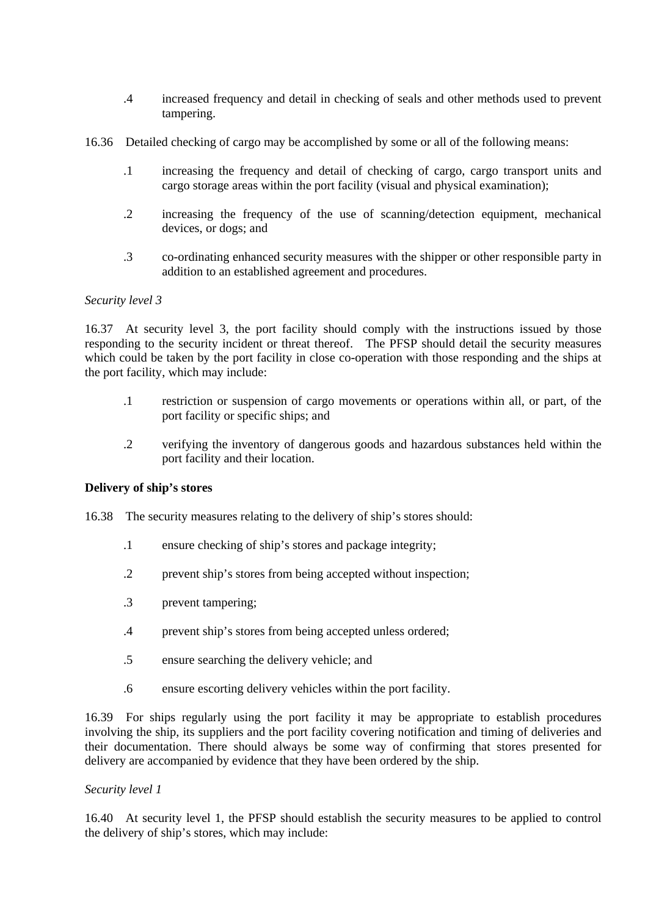- .4 increased frequency and detail in checking of seals and other methods used to prevent tampering.
- 16.36 Detailed checking of cargo may be accomplished by some or all of the following means:
	- .1 increasing the frequency and detail of checking of cargo, cargo transport units and cargo storage areas within the port facility (visual and physical examination);
	- .2 increasing the frequency of the use of scanning/detection equipment, mechanical devices, or dogs; and
	- .3 co-ordinating enhanced security measures with the shipper or other responsible party in addition to an established agreement and procedures.

#### *Security level 3*

16.37 At security level 3, the port facility should comply with the instructions issued by those responding to the security incident or threat thereof. The PFSP should detail the security measures which could be taken by the port facility in close co-operation with those responding and the ships at the port facility, which may include:

- .1 restriction or suspension of cargo movements or operations within all, or part, of the port facility or specific ships; and
- .2 verifying the inventory of dangerous goods and hazardous substances held within the port facility and their location.

#### **Delivery of ship's stores**

- 16.38 The security measures relating to the delivery of ship's stores should:
	- .1 ensure checking of ship's stores and package integrity;
	- .2 prevent ship's stores from being accepted without inspection;
	- .3 prevent tampering;
	- .4 prevent ship's stores from being accepted unless ordered;
	- .5 ensure searching the delivery vehicle; and
	- .6 ensure escorting delivery vehicles within the port facility.

16.39 For ships regularly using the port facility it may be appropriate to establish procedures involving the ship, its suppliers and the port facility covering notification and timing of deliveries and their documentation. There should always be some way of confirming that stores presented for delivery are accompanied by evidence that they have been ordered by the ship.

#### *Security level 1*

16.40 At security level 1, the PFSP should establish the security measures to be applied to control the delivery of ship's stores, which may include: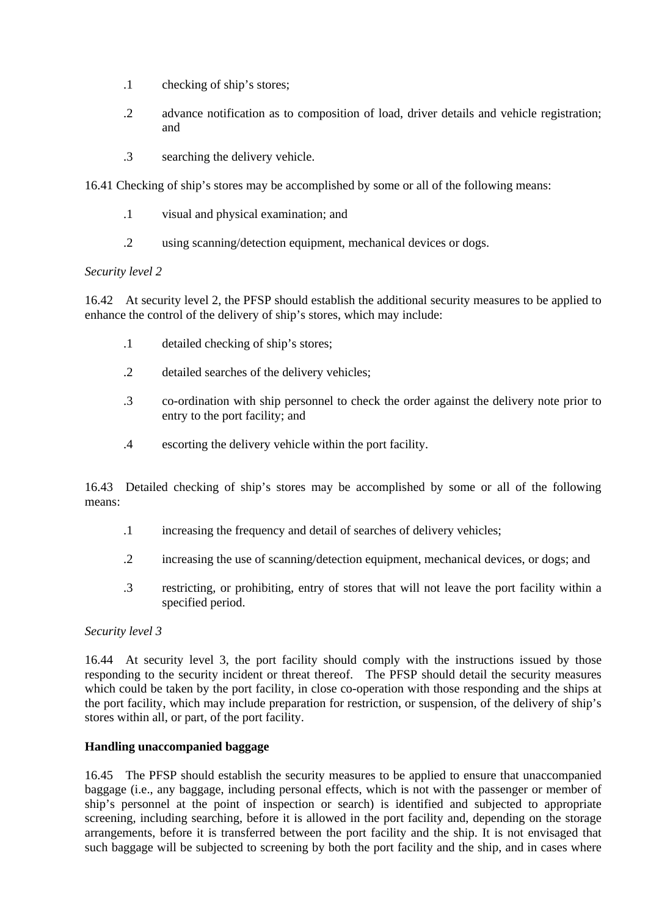- .1 checking of ship's stores;
- .2 advance notification as to composition of load, driver details and vehicle registration; and
- .3 searching the delivery vehicle.

16.41 Checking of ship's stores may be accomplished by some or all of the following means:

- .1 visual and physical examination; and
- .2 using scanning/detection equipment, mechanical devices or dogs.

### *Security level 2*

16.42 At security level 2, the PFSP should establish the additional security measures to be applied to enhance the control of the delivery of ship's stores, which may include:

- .1 detailed checking of ship's stores;
- .2 detailed searches of the delivery vehicles;
- .3 co-ordination with ship personnel to check the order against the delivery note prior to entry to the port facility; and
- .4 escorting the delivery vehicle within the port facility.

16.43 Detailed checking of ship's stores may be accomplished by some or all of the following means:

- .1 increasing the frequency and detail of searches of delivery vehicles;
- .2 increasing the use of scanning/detection equipment, mechanical devices, or dogs; and
- .3 restricting, or prohibiting, entry of stores that will not leave the port facility within a specified period.

### *Security level 3*

16.44 At security level 3, the port facility should comply with the instructions issued by those responding to the security incident or threat thereof. The PFSP should detail the security measures which could be taken by the port facility, in close co-operation with those responding and the ships at the port facility, which may include preparation for restriction, or suspension, of the delivery of ship's stores within all, or part, of the port facility.

### **Handling unaccompanied baggage**

16.45 The PFSP should establish the security measures to be applied to ensure that unaccompanied baggage (i.e., any baggage, including personal effects, which is not with the passenger or member of ship's personnel at the point of inspection or search) is identified and subjected to appropriate screening, including searching, before it is allowed in the port facility and, depending on the storage arrangements, before it is transferred between the port facility and the ship. It is not envisaged that such baggage will be subjected to screening by both the port facility and the ship, and in cases where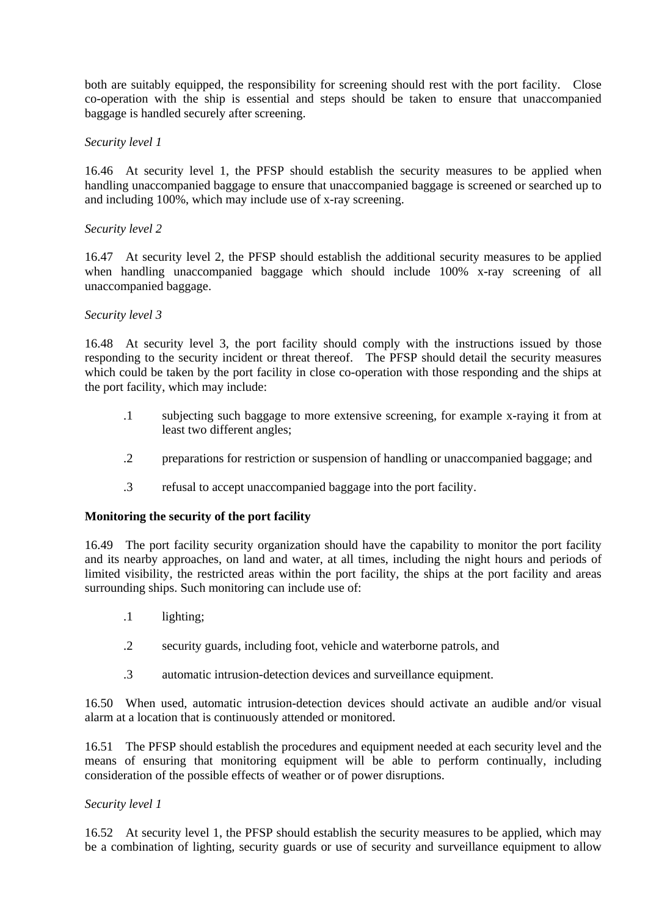both are suitably equipped, the responsibility for screening should rest with the port facility. Close co-operation with the ship is essential and steps should be taken to ensure that unaccompanied baggage is handled securely after screening.

#### *Security level 1*

16.46 At security level 1, the PFSP should establish the security measures to be applied when handling unaccompanied baggage to ensure that unaccompanied baggage is screened or searched up to and including 100%, which may include use of x-ray screening.

#### *Security level 2*

16.47 At security level 2, the PFSP should establish the additional security measures to be applied when handling unaccompanied baggage which should include 100% x-ray screening of all unaccompanied baggage.

#### *Security level 3*

16.48 At security level 3, the port facility should comply with the instructions issued by those responding to the security incident or threat thereof. The PFSP should detail the security measures which could be taken by the port facility in close co-operation with those responding and the ships at the port facility, which may include:

- .1 subjecting such baggage to more extensive screening, for example x-raying it from-at least two different angles;
- .2 preparations for restriction or suspension of handling or unaccompanied baggage; and
- .3 refusal to accept unaccompanied baggage into the port facility.

### **Monitoring the security of the port facility**

16.49 The port facility security organization should have the capability to monitor the port facility and its nearby approaches, on land and water, at all times, including the night hours and periods of limited visibility, the restricted areas within the port facility, the ships at the port facility and areas surrounding ships. Such monitoring can include use of:

- .1 lighting;
- .2 security guards, including foot, vehicle and waterborne patrols, and
- .3 automatic intrusion-detection devices and surveillance equipment.

16.50 When used, automatic intrusion-detection devices should activate an audible and/or visual alarm at a location that is continuously attended or monitored.

16.51 The PFSP should establish the procedures and equipment needed at each security level and the means of ensuring that monitoring equipment will be able to perform continually, including consideration of the possible effects of weather or of power disruptions.

### *Security level 1*

16.52 At security level 1, the PFSP should establish the security measures to be applied, which may be a combination of lighting, security guards or use of security and surveillance equipment to allow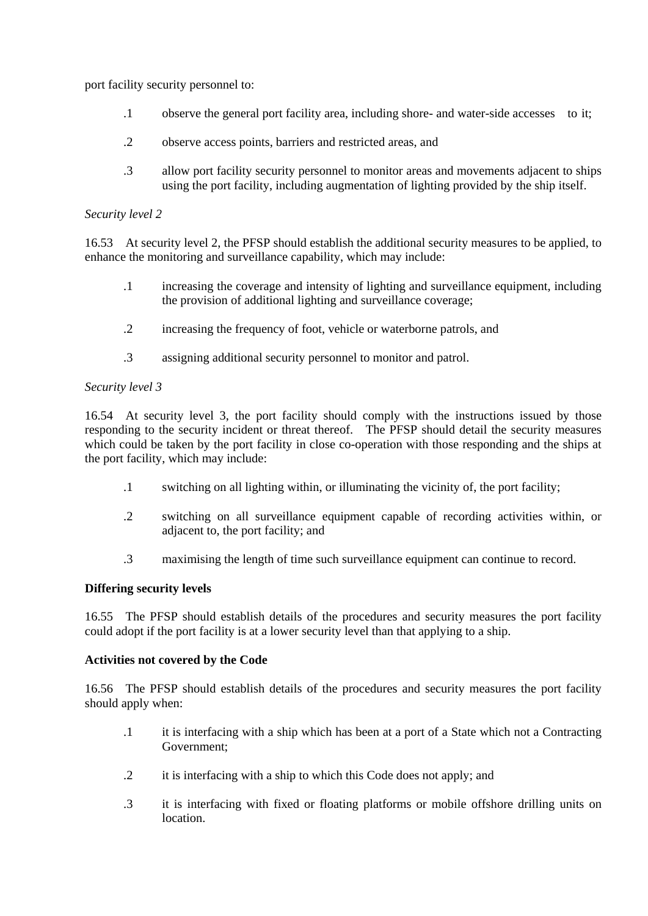port facility security personnel to:

- .1 observe the general port facility area, including shore- and water-side accesses to-it;
- .2 observe access points, barriers and restricted areas, and
- .3 allow port facility security personnel to monitor areas and movements adjacent to ships using the port facility, including augmentation of lighting provided by the ship itself.

### *Security level 2*

16.53 At security level 2, the PFSP should establish the additional security measures to be applied, to enhance the monitoring and surveillance capability, which may include:

- .1 increasing the coverage and intensity of lighting and surveillance equipment, including the provision of additional lighting and surveillance coverage;
- .2 increasing the frequency of foot, vehicle or waterborne patrols, and
- .3 assigning additional security personnel to monitor and patrol.

### *Security level 3*

16.54 At security level 3, the port facility should comply with the instructions issued by those responding to the security incident or threat thereof. The PFSP should detail the security measures which could be taken by the port facility in close co-operation with those responding and the ships at the port facility, which may include:

- .1 switching on all lighting within, or illuminating the vicinity of, the port facility;
- .2 switching on all surveillance equipment capable of recording activities within, or adjacent to, the port facility; and
- .3 maximising the length of time such surveillance equipment can continue to record.

### **Differing security levels**

16.55 The PFSP should establish details of the procedures and security measures the port facility could adopt if the port facility is at a lower security level than that applying to a ship.

### **Activities not covered by the Code**

16.56 The PFSP should establish details of the procedures and security measures the port facility should apply when:

- .1 it is interfacing with a ship which has been at a port of a State which not a Contracting Government;
- .2 it is interfacing with a ship to which this Code does not apply; and
- .3 it is interfacing with fixed or floating platforms or mobile offshore drilling units on location.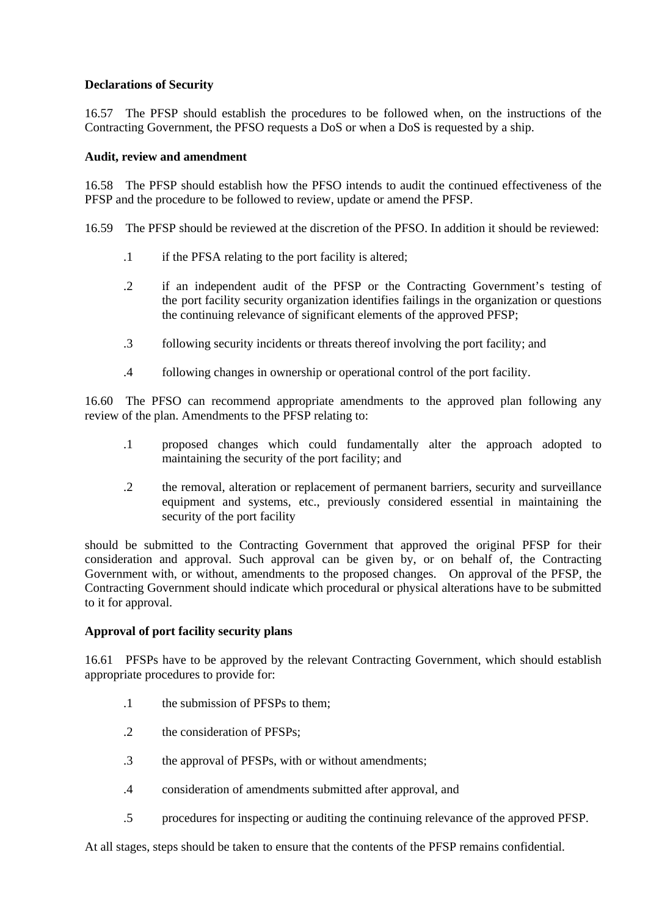### **Declarations of Security**

16.57 The PFSP should establish the procedures to be followed when, on the instructions of the Contracting Government, the PFSO requests a DoS or when a DoS is requested by a ship.

### **Audit, review and amendment**

16.58 The PFSP should establish how the PFSO intends to audit the continued effectiveness of the PFSP and the procedure to be followed to review, update or amend the PFSP.

16.59 The PFSP should be reviewed at the discretion of the PFSO. In addition it should be reviewed:

- .1 if the PFSA relating to the port facility is altered;
- .2 if an independent audit of the PFSP or the Contracting Government's testing of the-port facility security organization identifies failings in the organization or questions the continuing relevance of significant elements of the approved PFSP;
- .3 following security incidents or threats thereof involving the port facility; and
- .4 following changes in ownership or operational control of the port facility.

16.60 The PFSO can recommend appropriate amendments to the approved plan following any review of the plan. Amendments to the PFSP relating to:

- .1 proposed changes which could fundamentally alter the approach adopted to maintaining the security of the port facility; and
- .2 the removal, alteration or replacement of permanent barriers, security and surveillance equipment and systems, etc., previously considered essential in maintaining the security of the port facility

should be submitted to the Contracting Government that approved the original PFSP for their consideration and approval. Such approval can be given by, or on behalf of, the Contracting Government with, or without, amendments to the proposed changes. On approval of the PFSP, the Contracting Government should indicate which procedural or physical alterations have to be submitted to it for approval.

# **Approval of port facility security plans**

16.61 PFSPs have to be approved by the relevant Contracting Government, which should establish appropriate procedures to provide for:

- .1 the submission of PFSPs to them;
- .2 the consideration of PFSPs;
- .3 the approval of PFSPs, with or without amendments;
- .4 consideration of amendments submitted after approval, and
- .5 procedures for inspecting or auditing the continuing relevance of the approved PFSP.

At all stages, steps should be taken to ensure that the contents of the PFSP remains confidential.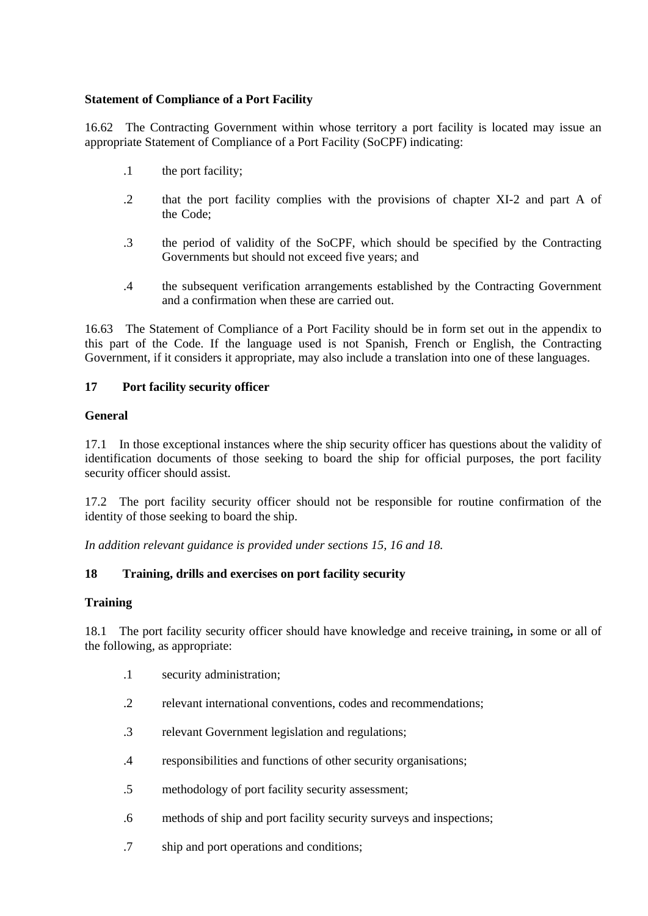# **Statement of Compliance of a Port Facility**

16.62 The Contracting Government within whose territory a port facility is located may issue an appropriate Statement of Compliance of a Port Facility (SoCPF) indicating:

- .1 the port facility;
- .2 that the port facility complies with the provisions of chapter XI-2 and part A of the-Code:
- .3 the period of validity of the SoCPF, which should be specified by the Contracting Governments but should not exceed five years; and
- .4 the subsequent verification arrangements established by the Contracting Government and a confirmation when these are carried out.

16.63 The Statement of Compliance of a Port Facility should be in form set out in the appendix-to this part of the Code. If the language used is not Spanish, French or English, the Contracting Government, if it considers it appropriate, may also include a translation into one of these languages.

### **17 Port facility security officer**

### **General**

17.1 In those exceptional instances where the ship security officer has questions about the validity of identification documents of those seeking to board the ship for official purposes, the port facility security officer should assist.

17.2 The port facility security officer should not be responsible for routine confirmation of the identity of those seeking to board the ship.

*In addition relevant guidance is provided under sections 15, 16 and 18.*

### **18 Training, drills and exercises on port facility security**

### **Training**

18.1 The port facility security officer should have knowledge and receive training**,** in some or all of the following, as appropriate:

- .1 security administration;
- .2 relevant international conventions, codes and recommendations;
- .3 relevant Government legislation and regulations;
- .4 responsibilities and functions of other security organisations;
- .5 methodology of port facility security assessment;
- .6 methods of ship and port facility security surveys and inspections;
- .7 ship and port operations and conditions;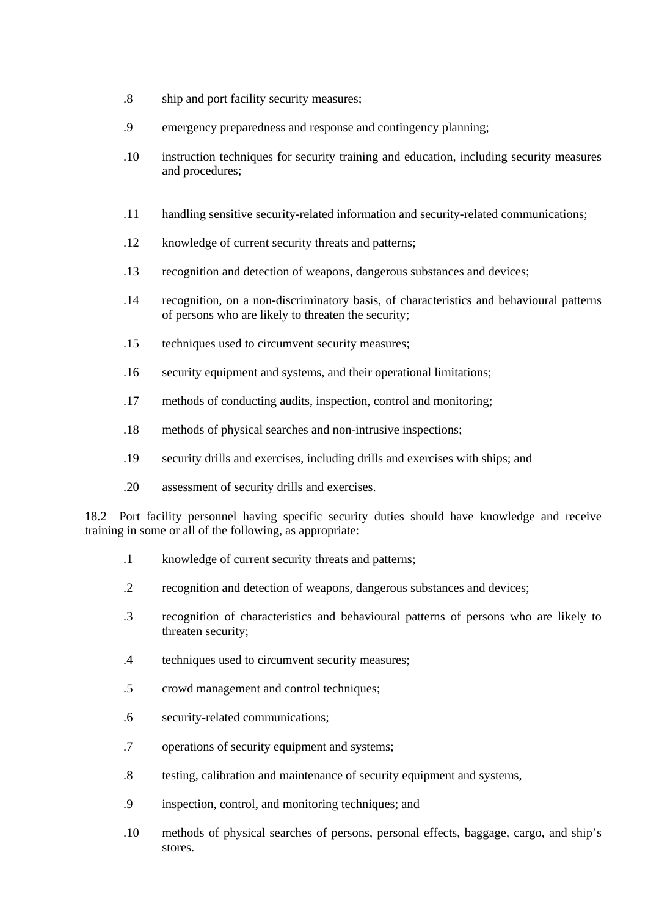- .8 ship and port facility security measures;
- .9 emergency preparedness and response and contingency planning;
- .10 instruction techniques for security training and education, including security measures and procedures;
- .11 handling sensitive security-related information and security-related communications;
- .12 knowledge of current security threats and patterns;
- .13 recognition and detection of weapons, dangerous substances and devices;
- .14 recognition, on a non-discriminatory basis, of characteristics and behavioural patterns of persons who are likely to threaten the security;
- .15 techniques used to circumvent security measures;
- .16 security equipment and systems, and their operational limitations;
- .17 methods of conducting audits, inspection, control and monitoring;
- .18 methods of physical searches and non-intrusive inspections;
- .19 security drills and exercises, including drills and exercises with ships; and
- .20 assessment of security drills and exercises.

18.2 Port facility personnel having specific security duties should have knowledge and receive training in some or all of the following, as appropriate:

- .1 knowledge of current security threats and patterns;
- .2 recognition and detection of weapons, dangerous substances and devices;
- .3 recognition of characteristics and behavioural patterns of persons who are likely to threaten security;
- .4 techniques used to circumvent security measures;
- .5 crowd management and control techniques;
- .6 security-related communications;
- .7 operations of security equipment and systems;
- .8 testing, calibration and maintenance of security equipment and systems,
- .9 inspection, control, and monitoring techniques; and
- .10 methods of physical searches of persons, personal effects, baggage, cargo, and ship's stores.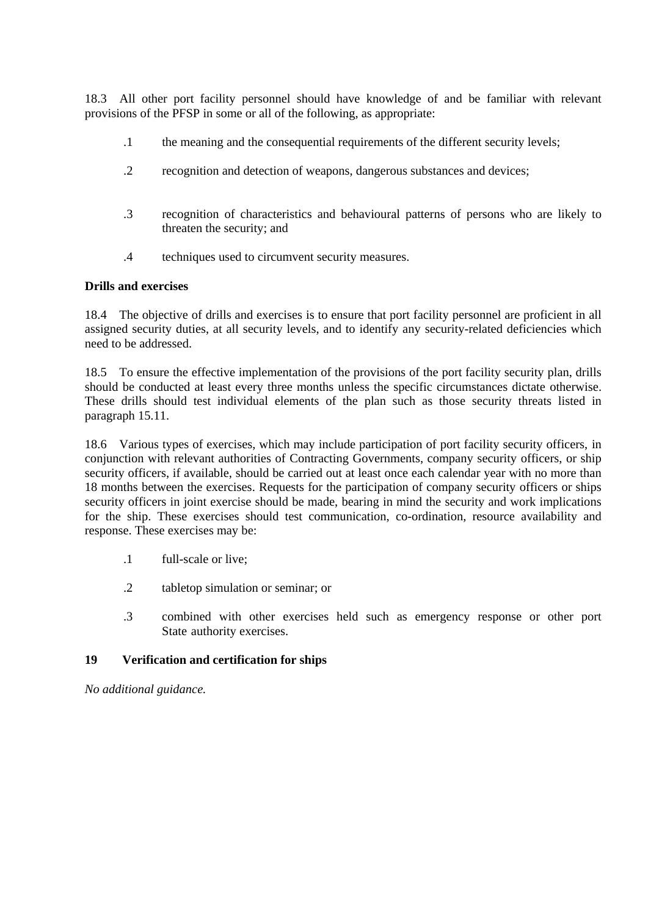18.3 All other port facility personnel should have knowledge of and be familiar with relevant provisions of the PFSP in some or all of the following, as appropriate:

- .1 the meaning and the consequential requirements of the different security levels;
- .2 recognition and detection of weapons, dangerous substances and devices;
- .3 recognition of characteristics and behavioural patterns of persons who are likely to threaten the security; and
- .4 techniques used to circumvent security measures.

#### **Drills and exercises**

18.4 The objective of drills and exercises is to ensure that port facility personnel are proficient in all assigned security duties, at all security levels, and to identify any security-related deficiencies which need to be addressed.

18.5 To ensure the effective implementation of the provisions of the port facility security plan, drills should be conducted at least every three months unless the specific circumstances dictate otherwise. These drills should test individual elements of the plan such as those security threats listed in paragraph 15.11.

18.6 Various types of exercises, which may include participation of port facility security officers, in conjunction with relevant authorities of Contracting Governments, company security officers, or ship security officers, if available, should be carried out at least once each calendar year with no more than 18 months between the exercises. Requests for the participation of company security officers or ships security officers in joint exercise should be made, bearing in mind the security and work implications for the ship. These exercises should test communication, co-ordination, resource availability and response. These exercises may be:

- .1 full-scale or live;
- .2 tabletop simulation or seminar; or
- .3 combined with other exercises held such as emergency response or other port State authority exercises.

### **19 Verification and certification for ships**

*No additional guidance.*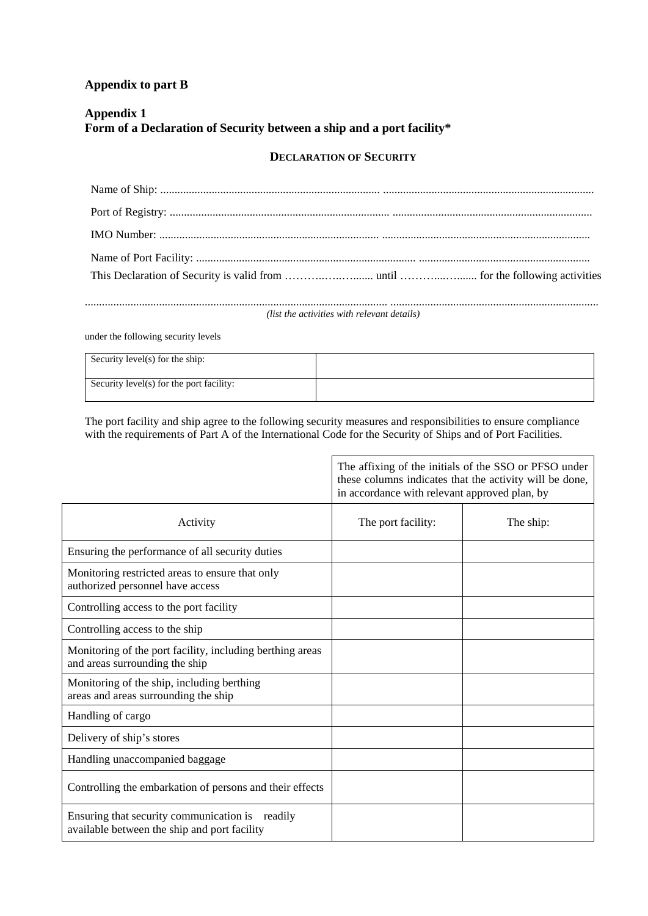# **Appendix to part B**

# **Appendix 1 Form of a Declaration of Security between a ship and a port facility\***

#### **DECLARATION OF SECURITY**

*(list the activities with relevant details)*

under the following security levels

| Security level(s) for the ship:          |  |
|------------------------------------------|--|
| Security level(s) for the port facility: |  |

The port facility and ship agree to the following security measures and responsibilities to ensure compliance with the requirements of Part A of the International Code for the Security of Ships and of Port Facilities.

|                                                                                                 | The affixing of the initials of the SSO or PFSO under<br>these columns indicates that the activity will be done,<br>in accordance with relevant approved plan, by |           |
|-------------------------------------------------------------------------------------------------|-------------------------------------------------------------------------------------------------------------------------------------------------------------------|-----------|
| Activity                                                                                        | The port facility:                                                                                                                                                | The ship: |
| Ensuring the performance of all security duties                                                 |                                                                                                                                                                   |           |
| Monitoring restricted areas to ensure that only<br>authorized personnel have access             |                                                                                                                                                                   |           |
| Controlling access to the port facility                                                         |                                                                                                                                                                   |           |
| Controlling access to the ship                                                                  |                                                                                                                                                                   |           |
| Monitoring of the port facility, including berthing areas<br>and areas surrounding the ship     |                                                                                                                                                                   |           |
| Monitoring of the ship, including berthing<br>areas and areas surrounding the ship              |                                                                                                                                                                   |           |
| Handling of cargo                                                                               |                                                                                                                                                                   |           |
| Delivery of ship's stores                                                                       |                                                                                                                                                                   |           |
| Handling unaccompanied baggage                                                                  |                                                                                                                                                                   |           |
| Controlling the embarkation of persons and their effects                                        |                                                                                                                                                                   |           |
| Ensuring that security communication is readily<br>available between the ship and port facility |                                                                                                                                                                   |           |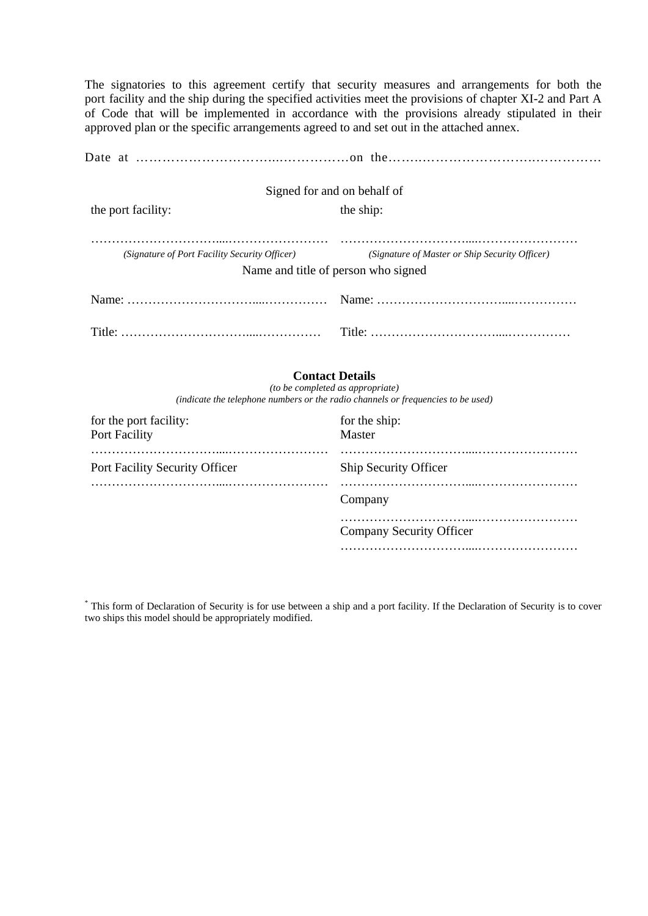The signatories to this agreement certify that security measures and arrangements for both the port-facility and the ship during the specified activities meet the provisions of chapter XI-2 and Part A of Code that will be implemented in accordance with the provisions already stipulated in their approved plan or the specific arrangements agreed to and set out in the attached annex.

|                                               | Signed for and on behalf of                                                           |  |
|-----------------------------------------------|---------------------------------------------------------------------------------------|--|
| the port facility:                            | the ship:                                                                             |  |
| (Signature of Port Facility Security Officer) | (Signature of Master or Ship Security Officer)<br>Name and title of person who signed |  |
|                                               |                                                                                       |  |
|                                               |                                                                                       |  |

#### **Contact Details**

*(to be completed as appropriate) (indicate the telephone numbers or the radio channels or frequencies to be used)*

| for the port facility:<br>Port Facility | for the ship:<br>Master  |
|-----------------------------------------|--------------------------|
| Port Facility Security Officer          | Ship Security Officer    |
|                                         | Company                  |
|                                         | Company Security Officer |
|                                         |                          |

\* This form of Declaration of Security is for use between a ship and a port facility. If the Declaration of Security is to cover two ships this model should be appropriately modified.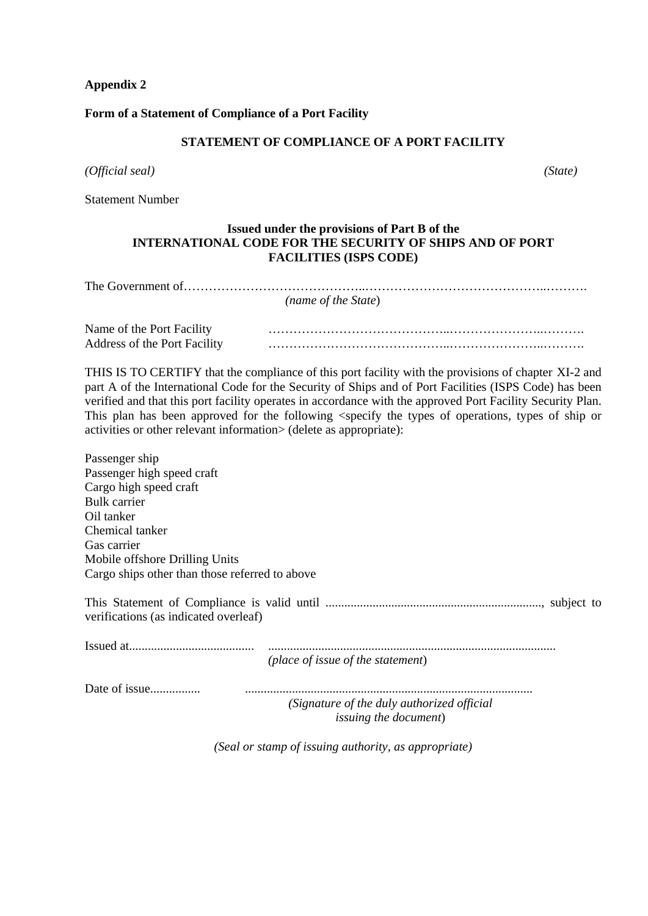# **Appendix 2**

# **Form of a Statement of Compliance of a Port Facility**

# **STATEMENT OF COMPLIANCE OF A PORT FACILITY**

*(Official seal) (State)*

Statement Number

# **Issued under the provisions of Part B of the INTERNATIONAL CODE FOR THE SECURITY OF SHIPS AND OF PORT FACILITIES (ISPS CODE)**

| (name of the State)                                                                                                                                                                                                                                                                                                                                                                                                                                                                                                          |
|------------------------------------------------------------------------------------------------------------------------------------------------------------------------------------------------------------------------------------------------------------------------------------------------------------------------------------------------------------------------------------------------------------------------------------------------------------------------------------------------------------------------------|
|                                                                                                                                                                                                                                                                                                                                                                                                                                                                                                                              |
| Name of the Port Facility<br>Address of the Port Facility                                                                                                                                                                                                                                                                                                                                                                                                                                                                    |
| THIS IS TO CERTIFY that the compliance of this port facility with the provisions of chapter XI-2 and<br>part A of the International Code for the Security of Ships and of Port Facilities (ISPS Code) has been<br>verified and that this port facility operates in accordance with the approved Port Facility Security Plan.<br>This plan has been approved for the following <specify of="" operations,="" or<br="" ship="" the="" types="">activities or other relevant information&gt; (delete as appropriate):</specify> |
| Passenger ship<br>Passenger high speed craft<br>Cargo high speed craft<br><b>Bulk</b> carrier<br>Oil tanker<br>Chemical tanker<br>Gas carrier<br>Mobile offshore Drilling Units<br>Cargo ships other than those referred to above                                                                                                                                                                                                                                                                                            |
| verifications (as indicated overleaf)                                                                                                                                                                                                                                                                                                                                                                                                                                                                                        |
| (place of issue of the statement)                                                                                                                                                                                                                                                                                                                                                                                                                                                                                            |
| Date of issue<br>(Signature of the duly authorized official<br><i>issuing the document</i> )                                                                                                                                                                                                                                                                                                                                                                                                                                 |

*(Seal or stamp of issuing authority, as appropriate)*